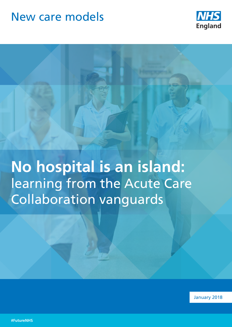# New care models



**No hospital is an island:** learning from the Acute Care Collaboration vanguards

January 2018

**#FutureNHS**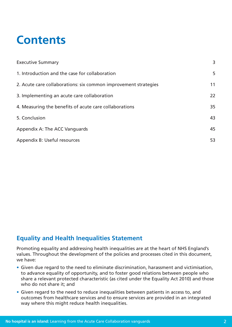# **Contents**

| <b>Executive Summary</b>                                        | 3  |
|-----------------------------------------------------------------|----|
| 1. Introduction and the case for collaboration                  | 5  |
| 2. Acute care collaborations: six common improvement strategies | 11 |
| 3. Implementing an acute care collaboration                     | 22 |
| 4. Measuring the benefits of acute care collaborations          | 35 |
| 5. Conclusion                                                   | 43 |
| Appendix A: The ACC Vanguards                                   | 45 |
| Appendix B: Useful resources                                    | 53 |

# **Equality and Health Inequalities Statement**

Promoting equality and addressing health inequalities are at the heart of NHS England's values. Throughout the development of the policies and processes cited in this document, we have:

- Given due regard to the need to eliminate discrimination, harassment and victimisation, to advance equality of opportunity, and to foster good relations between people who share a relevant protected characteristic (as cited under the Equality Act 2010) and those who do not share it; and
- Given regard to the need to reduce inequalities between patients in access to, and outcomes from healthcare services and to ensure services are provided in an integrated way where this might reduce health inequalities.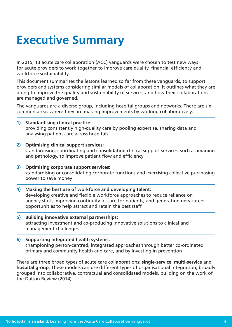# <span id="page-2-0"></span>**Executive Summary**

In 2015, 13 acute care collaboration (ACC) vanguards were chosen to test new ways for acute providers to work together to improve care quality, financial efficiency and workforce sustainability.

This document summarises the lessons learned so far from these vanguards, to support providers and systems considering similar models of collaboration. It outlines what they are doing to improve the quality and sustainability of services, and how their collaborations are managed and governed.

The vanguards are a diverse group, including hospital groups and networks. There are six common areas where they are making improvements by working collaboratively:

- **1) Standardising clinical practice:**  providing consistently high-quality care by pooling expertise, sharing data and analysing patient care across hospitals
- **2) Optimising clinical support services:**  standardising, coordinating and consolidating clinical support services, such as imaging and pathology, to improve patient flow and efficiency
- **3) Optimising corporate support services:**  standardising or consolidating corporate functions and exercising collective purchasing power to save money
- **4) Making the best use of workforce and developing talent:**  developing creative and flexible workforce approaches to reduce reliance on agency staff, improving continuity of care for patients, and generating new career opportunities to help attract and retain the best staff
- **5) Building innovative external partnerships:**  attracting investment and co-producing innovative solutions to clinical and management challenges

### **6) Supporting integrated health systems:**  championing person-centred, integrated approaches through better co-ordinated primary and community health and care, and by investing in prevention

There are three broad types of acute care collaborations: **single-service**, **multi-service** and **hospital group**. These models can use different types of organisational integration, broadly grouped into collaborative, contractual and consolidated models, building on the work of the Dalton Review (2014).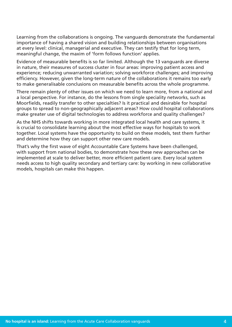Learning from the collaborations is ongoing. The vanguards demonstrate the fundamental importance of having a shared vision and building relationships between organisations at every level: clinical, managerial and executive. They can testify that for long term, meaningful change, the maxim of 'form follows function' applies.

Evidence of measurable benefits is so far limited. Although the 13 vanguards are diverse in nature, their measures of success cluster in four areas: improving patient access and experience; reducing unwarranted variation; solving workforce challenges; and improving efficiency. However, given the long-term nature of the collaborations it remains too early to make generalisable conclusions on measurable benefits across the whole programme.

There remain plenty of other issues on which we need to learn more, from a national and a local perspective. For instance, do the lessons from single speciality networks, such as Moorfields, readily transfer to other specialties? Is it practical and desirable for hospital groups to spread to non-geographically adjacent areas? How could hospital collaborations make greater use of digital technologies to address workforce and quality challenges?

As the NHS shifts towards working in more integrated local health and care systems, it is crucial to consolidate learning about the most effective ways for hospitals to work together. Local systems have the opportunity to build on these models, test them further and determine how they can support other new care models.

That's why the first wave of eight Accountable Care Systems have been challenged, with support from national bodies, to demonstrate how these new approaches can be implemented at scale to deliver better, more efficient patient care. Every local system needs access to high quality secondary and tertiary care: by working in new collaborative models, hospitals can make this happen.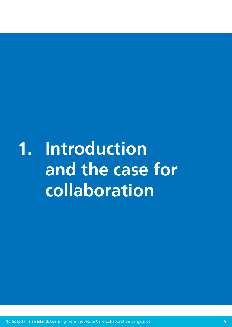<span id="page-4-0"></span>**1. Introduction and the case for collaboration**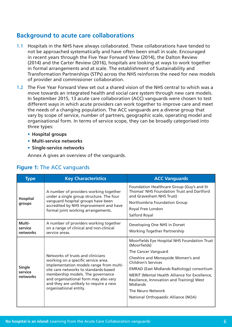# **Background to acute care collaborations**

- 1.1 Hospitals in the NHS have always collaborated. These collaborations have tended to not be approached systematically and have often been small in scale. Encouraged in recent years through the Five Year Forward View (2014), the Dalton Review (2014) and the Carter Review (2016), hospitals are looking at ways to work together in formal arrangements and at scale. The establishment of Sustainability and Transformation Partnerships (STPs) across the NHS reinforces the need for new models of provider and commissioner collaboration.
- 1.2 The Five Year Forward View set out a shared vision of the NHS central to which was a move towards an integrated health and social care system through new care models. In September 2015, 13 acute care collaboration (ACC) vanguards were chosen to test different ways in which acute providers can work together to improve care and meet the needs of a changing population. The ACC vanguards are a diverse group that vary by scope of service, number of partners, geographic scale, operating model and organisational form. In terms of service scope, they can be broadly categorised into three types:
	- **• Hospital groups**
	- **• Multi-service networks**
	- **• Single-service networks**

Annex A gives an overview of the vanguards.

| <b>Type</b>                          | <b>Key Characteristics</b>                                                                                                                                                                               | <b>ACC Vanguards</b>                                                                                                                                                                            |  |  |  |
|--------------------------------------|----------------------------------------------------------------------------------------------------------------------------------------------------------------------------------------------------------|-------------------------------------------------------------------------------------------------------------------------------------------------------------------------------------------------|--|--|--|
| <b>Hospital</b><br>groups            | A number of providers working together<br>under a single group structure. The four<br>vanguard hospital groups have been<br>accredited by NHS Improvement and have<br>formal joint working arrangements. | Foundation Healthcare Group (Guy's and St<br><b>Thomas' NHS Foundation Trust and Dartford</b><br>and Gravesham NHS Trust)<br>Northumbria Foundation Group<br>Royal Free London<br>Salford Royal |  |  |  |
| Multi-<br>service<br>networks        | A number of providers working together<br>on a range of clinical and non-clinical<br>service areas.                                                                                                      | Developing One NHS in Dorset<br><b>Working Together Partnership</b>                                                                                                                             |  |  |  |
| <b>Single</b><br>service<br>networks |                                                                                                                                                                                                          | Moorfields Eye Hospital NHS Foundation Trust<br>(Moorfields)                                                                                                                                    |  |  |  |
|                                      |                                                                                                                                                                                                          | The Cancer Vanguard                                                                                                                                                                             |  |  |  |
|                                      | Networks of trusts and clinicians<br>working on a specific service area.<br>Implementation models range from multi-                                                                                      | Cheshire and Merseyside Women's and<br><b>Children's Services</b>                                                                                                                               |  |  |  |
|                                      | site care networks to standards-based<br>membership models. The governance<br>and organisational form may also vary<br>and they are unlikely to require a new                                            | <b>EMRAD (East Midlands Radiology) consortium</b>                                                                                                                                               |  |  |  |
|                                      |                                                                                                                                                                                                          | MERIT (Mental Health Alliance for Excellence,<br>Resilience, Innovation and Training) West<br>Midlands                                                                                          |  |  |  |
|                                      | organisational entity.                                                                                                                                                                                   | The Neuro Network                                                                                                                                                                               |  |  |  |
|                                      |                                                                                                                                                                                                          | National Orthopaedic Alliance (NOA)                                                                                                                                                             |  |  |  |

### **Figure 1:** The ACC vanguards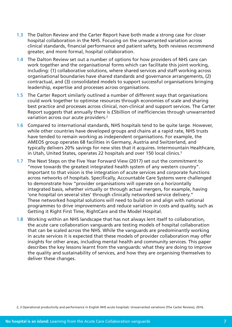- 1.3 The Dalton Review and the Carter Report have both made a strong case for closer hospital collaboration in the NHS. Focusing on the unwarranted variation across clinical standards, financial performance and patient safety, both reviews recommend greater, and more formal, hospital collaboration.
- 1.4 The Dalton Review set out a number of options for how providers of NHS care can work together and the organisational forms which can facilitate this joint working, including: (1) collaborative solutions, where shared services and staff working across organisational boundaries have shared standards and governance arrangements, (2) contractual, and (3) consolidated models to support successful organisations bringing leadership, expertise and processes across organisations.
- 1.5 The Carter Report similarly outlined a number of different ways that organisations could work together to optimise resources through economies of scale and sharing best practice and processes across clinical, non-clinical and support services. The Carter Report suggests that annually there is £5billion of inefficiencies through unwarranted variation across our acute providers.<sup>2</sup>
- 1.6 Compared to international standards, NHS hospitals tend to be quite large. However, while other countries have developed groups and chains at a rapid rate, NHS trusts have tended to remain working as independent organisations. For example, the AMEOS group operates 68 facilities in Germany, Austria and Switzerland, and typically delivers 20% savings for new sites that it acquires. Intermountain Healthcare, in Utah, United States, operates 22 hospitals and over 150 local clinics.<sup>3</sup>
- 1.7 The Next Steps on the Five Year Forward View (2017) set out the commitment to "move towards the greatest integrated health system of any western country". Important to that vision is the integration of acute services and corporate functions across networks of hospitals. Specifically, Accountable Care Systems were challenged to demonstrate how "provider organisations will operate on a horizontally integrated basis, whether virtually or through actual mergers, for example, having 'one hospital on several sites' through clinically networked service delivery." These networked hospital solutions will need to build on and align with national programmes to drive improvements and reduce variation in costs and quality, such as Getting it Right First Time, RightCare and the Model Hospital.
- 1.8 Working within an NHS landscape that has not always lent itself to collaboration, the acute care collaboration vanguards are testing models of hospital collaboration that can be scaled across the NHS. While the vanguards are predominantly working in acute services it is expected that these models of provider collaboration may offer insights for other areas, including mental health and community services. This paper describes the key lessons learnt from the vanguards: what they are doing to improve the quality and sustainability of services, and how they are organising themselves to deliver these changes.

2, 3 Operational productivity and performance in English NHS acute hospitals: Unwarranted variations (The Carter Review), 2016.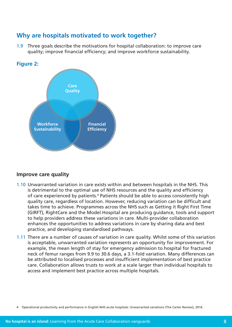# **Why are hospitals motivated to work together?**

1.9 Three goals describe the motivations for hospital collaboration: to improve care quality; improve financial efficiency; and improve workforce sustainability.





### **Improve care quality**

- 1.10 Unwarranted variation in care exists within and between hospitals in the NHS. This is detrimental to the optimal use of NHS resources and the quality and efficiency of care experienced by patients.<sup>4</sup> Patients should be able to access consistently high quality care, regardless of location. However, reducing variation can be difficult and takes time to achieve. Programmes across the NHS such as Getting it Right First Time (GIRFT), RightCare and the Model Hospital are producing guidance, tools and support to help providers address these variations in care. Multi-provider collaboration enhances the opportunities to address variations in care by sharing data and best practice, and developing standardised pathways.
- 1.11 There are a number of causes of variation in care quality. Whilst some of this variation is acceptable, unwarranted variation represents an opportunity for improvement. For example, the mean length of stay for emergency admission to hospital for fractured neck of femur ranges from 9.9 to 30.6 days, a 3.1-fold variation. Many differences can be attributed to localised processes and insufficient implementation of best practice care. Collaboration allows trusts to work at a scale larger than individual hospitals to access and implement best practice across multiple hospitals.

<sup>4</sup> Operational productivity and performance in English NHS acute hospitals: Unwarranted variations (The Carter Review), 2016.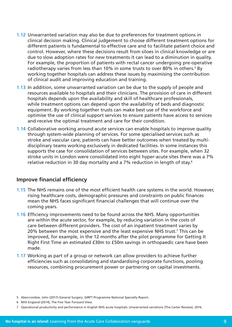- 1.12 Unwarranted variation may also be due to preferences for treatment options in clinical decision making. Clinical judgement to choose different treatment options for different patients is fundamental to effective care and to facilitate patient choice and control. However, where these decisions result from siloes in clinical knowledge or are due to slow adoption rates for new treatments it can lead to a diminution in quality. For example, the proportion of patients with rectal cancer undergoing pre-operative radiotherapy varies from less than 10% in some trusts to over 80% in others.<sup>5</sup> By working together hospitals can address these issues by maximising the contribution of clinical audit and improving education and training.
- 1.13 In addition, some unwarranted variation can be due to the supply of people and resources available to hospitals and their clinicians. The provision of care in different hospitals depends upon the availability and skill of healthcare professionals, while treatment options can depend upon the availability of beds and diagnostic equipment. By working together trusts can make best use of the workforce and optimise the use of clinical support services to ensure patients have access to services and receive the optimal treatment and care for their condition.
- 1.14 Collaborative working around acute services can enable hospitals to improve quality through system-wide planning of services. For some specialised services such as stroke and vascular care, patients can have better outcomes when treated by multidisciplinary teams working exclusively in dedicated facilities. In some instances this supports the case for consolidation of services between sites. For example, when 32 stroke units in London were consolidated into eight hyper-acute sites there was a 7% relative reduction in 30 day mortality and a 7% reduction in length of stay.6

### **Improve financial efficiency**

- 1.15 The NHS remains one of the most efficient health care systems in the world. However, rising healthcare costs, demographic pressures and constraints on public finances mean the NHS faces significant financial challenges that will continue over the coming years.
- 1.16 Efficiency improvements need to be found across the NHS. Many opportunities are within the acute sector, for example, by reducing variation in the costs of care between different providers. The cost of an inpatient treatment varies by 20% between the most expensive and the least expensive NHS trust.7 This can be improved, for example, in the 12 months after the pilot programme for Getting It Right First Time an estimated £30m to £50m savings in orthopaedic care have been made.
- 1.17 Working as part of a group or network can allow providers to achieve further efficiencies such as consolidating and standardising corporate functions, pooling resources, combining procurement power or partnering on capital investments.

7 Operational productivity and performance in English NHS acute hospitals: Unwarranted variations (The Carter Review), 2016.

<sup>5</sup> Abercrombie, John (2017) General Surgery: GIRFT Programme National Specialty Report.

<sup>6</sup> NHS England (2014), The Five Year Forward View.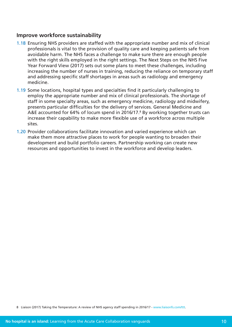### **Improve workforce sustainability**

- 1.18 Ensuring NHS providers are staffed with the appropriate number and mix of clinical professionals is vital to the provision of quality care and keeping patients safe from avoidable harm. The NHS faces a challenge to make sure there are enough people with the right skills employed in the right settings. The Next Steps on the NHS Five Year Forward View (2017) sets out some plans to meet these challenges, including increasing the number of nurses in training, reducing the reliance on temporary staff and addressing specific staff shortages in areas such as radiology and emergency medicine.
- 1.19 Some locations, hospital types and specialties find it particularly challenging to employ the appropriate number and mix of clinical professionals. The shortage of staff in some specialty areas, such as emergency medicine, radiology and midwifery, presents particular difficulties for the delivery of services. General Medicine and A&E accounted for 64% of locum spend in 2016/17.<sup>8</sup> By working together trusts can increase their capability to make more flexible use of a workforce across multiple sites.
- 1.20 Provider collaborations facilitate innovation and varied experience which can make them more attractive places to work for people wanting to broaden their development and build portfolio careers. Partnership working can create new resources and opportunities to invest in the workforce and develop leaders.

<sup>8</sup> Liaison (2017) Taking the Temperature: A review of NHS agency staff spending in 2016/17 - [www.liaisonfs.com/ttt.](http://www.liaisonfs.com/ttt)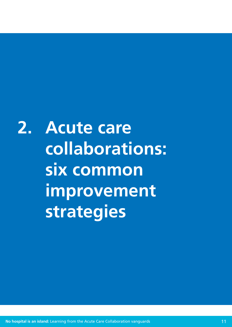<span id="page-10-0"></span>**2. Acute care collaborations: six common improvement strategies**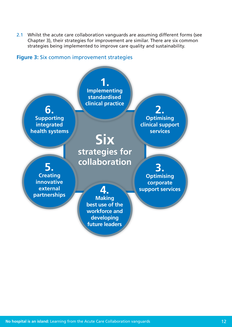2.1 Whilst the acute care collaboration vanguards are assuming different forms (see Chapter 3), their strategies for improvement are similar. There are six common strategies being implemented to improve care quality and sustainability.

### **Figure 3:** Six common improvement strategies

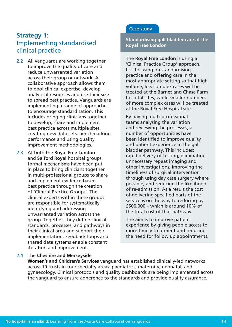# **Strategy 1:** Implementing standardised clinical practice

- 2.2 All vanguards are working together to improve the quality of care and reduce unwarranted variation across their group or network. A collaborative approach allows them to pool clinical expertise, develop analytical resources and use their size to spread best practice. Vanguards are implementing a range of approaches to encourage standardisation. This includes bringing clinicians together to develop, share and implement best practice across multiple sites, creating new data sets, benchmarking performance and using quality improvement methodologies.
- 2.3 At both the **Royal Free London** and **Salford Royal** hospital groups, formal mechanisms have been put in place to bring clinicians together in multi-professional groups to share and implement evidence-based best practice through the creation of 'Clinical Practice Groups'. The clinical experts within these groups are responsible for systematically identifying and addressing unwarranted variation across the group. Together, they define clinical standards, processes, and pathways in their clinical area and support their implementation. Feedback loops and shared data systems enable constant iteration and improvement.

### Case study

**Standardising gall bladder care at the Royal Free London**

The **Royal Free London** is using a 'Clinical Practice Group' approach. It is focusing on standardising practice and offering care in the most appropriate setting so that high volume, less complex cases will be treated at the Barnet and Chase Farm hospital sites, while smaller numbers of more complex cases will be treated at the Royal Free Hospital site.

By having multi-professional teams analysing the variation and reviewing the processes, a number of opportunities have been identified to improve quality and patient experience in the gall bladder pathway. This includes: rapid delivery of testing; eliminating unnecessary repeat imaging and other investigations; improving the timeliness of surgical intervention through using day case surgery where possible; and reducing the likelihood of re-admission. As a result the cost of delivering specified parts of the service is on the way to reducing by £500,000 – which is around 10% of the total cost of that pathway.

The aim is to improve patient experience by giving people access to more timely treatment and reducing the need for follow up appointments.

#### 2.4 The **Cheshire and Merseyside**

**Women's and Children's Services** vanguard has established clinically-led networks across 10 trusts in four specialty areas: paediatrics; maternity; neonatal; and gynaecology. Clinical protocols and quality dashboards are being implemented across the vanguard to ensure adherence to the standards and provide quality assurance.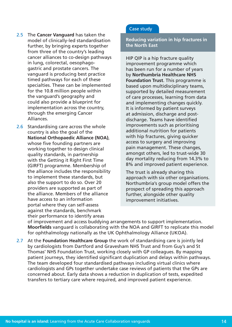- 2.5 The **Cancer Vanguard** has taken the model of clinically-led standardisation further, by bringing experts together from three of the country's leading cancer alliances to co-design pathways in lung, colorectal, oesophagogastric and prostate cancers. The vanguard is producing best practice timed pathways for each of these specialties. These can be implemented for the 10.8 million people within the vanguard's geography and could also provide a blueprint for implementation across the country, through the emerging Cancer Alliances.
- 2.6 Standardising care across the whole country is also the goal of the **National Orthopaedic Alliance (NOA)**, whose five founding partners are working together to design clinical quality standards, in partnership with the Getting it Right First Time (GIRFT) programme. Membership of the alliance includes the responsibility to implement these standards, but also the support to do so. Over 20 providers are supported as part of the alliance. Members of the alliance have access to an information portal where they can self-assess against the standards, benchmark their performance to identify areas

### Case study

**Reducing variation in hip fractures in the North East**

HIP QIP is a hip fracture quality improvement programme which has been run for a number of years by **Northumbria Healthcare NHS Foundation Trust**. This programme is based upon multidisciplinary teams, supported by detailed measurement of care processes, learning from data and implementing changes quickly. It is informed by patient surveys at admission, discharge and postdischarge. Teams have identified improvements such as prioritising additional nutrition for patients with hip fractures, giving quicker access to surgery and improving pain management. These changes, amongst others, led to trust-wide 30 day mortality reducing from 14.3% to 8% and improved patient experience.

The trust is already sharing this approach with six other organisations. Northumbria's group model offers the prospect of spreading this approach further, alongside other quality improvement initiatives.

of improvement and access buddying arrangements to support implementation. **Moorfields** vanguard is collaborating with the NOA and GIRFT to replicate this model for ophthalmology nationally as the UK Ophthalmology Alliance (UKOA).

2.7 At the **Foundation Healthcare Group** the work of standardising care is jointly led by cardiologists from Dartford and Gravesham NHS Trust and from Guy's and St Thomas' NHS Foundation Trust, working closely with GP colleagues. By mapping patient journeys, they identified significant duplication and delays within pathways. The team developed four standardised pathways including virtual clinics where cardiologists and GPs together undertake case reviews of patients that the GPs are concerned about. Early data shows a reduction in duplication of tests, expedited transfers to tertiary care where required, and improved patient experience.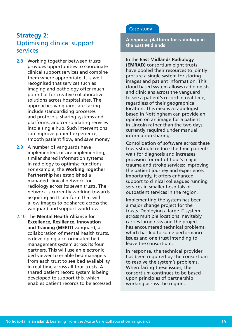# **Strategy 2:** Optimising clinical support services

- 2.8 Working together between trusts provides opportunities to coordinate clinical support services and combine them where appropriate. It is well recognised that services such as imaging and pathology offer much potential for creative collaborative solutions across hospital sites. The approaches vanguards are taking include standardising processes and protocols, sharing systems and platforms, and consolidating services into a single hub. Such interventions can improve patient experience, smooth patient flow, and save money.
- 2.9 A number of vanguards have implemented, or are implementing, similar shared information systems in radiology to optimise functions. For example, the **Working Together Partnership** has established a managed clinical network for radiology across its seven trusts. The network is currently working towards acquiring an IT platform that will allow images to be shared across the vanguard and support workflow.
- 2.10 The **Mental Health Alliance for Excellence, Resilience, Innovation and Training (MERIT)** vanguard, a collaboration of mental health trusts, is developing a co-ordinated bed management system across its four partners. This will use an electronic bed viewer to enable bed managers from each trust to see bed availability in real time across all four trusts. A shared patient record system is being developed to support this, which enables patient records to be accessed

### Case study

**A regional platform for radiology in the East Midlands** 

### In the **East Midlands Radiology**

**(EMRAD)** consortium eight trusts have pooled their resources to jointly procure a single system for storing images and patient information. This cloud based system allows radiologists and clinicians across the vanguard to see a patient's record in real time, regardless of their geographical location. This means a radiologist based in Nottingham can provide an opinion on an image for a patient in Lincoln rather than the two days currently required under manual information sharing.

Consolidation of software across these trusts should reduce the time patients wait for diagnosis and increases provision for out of hour's major trauma and stroke services; improving the patient journey and experience. Importantly, it offers enhanced support to clinical colleagues running services in smaller hospitals or outpatient services in the region.

Implementing the system has been a major change project for the trusts. Deploying a large IT system across multiple locations inevitably carries large risks and the project has encountered technical problems, which has led to some performance issues and one trust intending to leave the consortium.

In response, the technical provider has been required by the consortium to resolve the system's problems. When facing these issues, the consortium continues to be based upon principles of partnership working across the region.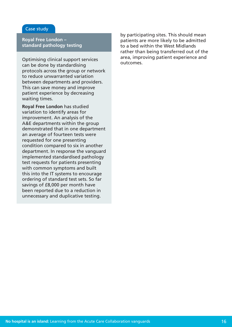### Case study

**Royal Free London – standard pathology testing** 

Optimising clinical support services can be done by standardising protocols across the group or network to reduce unwarranted variation between departments and providers. This can save money and improve patient experience by decreasing waiting times.

**Royal Free London** has studied variation to identify areas for improvement. An analysis of the A&E departments within the group demonstrated that in one department an average of fourteen tests were requested for one presenting condition compared to six in another department. In response the vanguard implemented standardised pathology test requests for patients presenting with common symptoms and built this into the IT systems to encourage ordering of standard test sets. So far savings of £8,000 per month have been reported due to a reduction in unnecessary and duplicative testing.

by participating sites. This should mean patients are more likely to be admitted to a bed within the West Midlands rather than being transferred out of the area, improving patient experience and outcomes.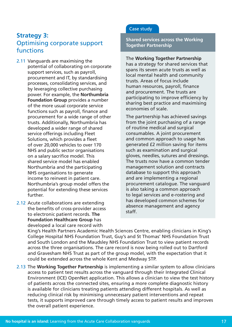# **Strategy 3:**  Optimising corporate support functions

- 2.11 Vanguards are maximising the potential of collaborating on corporate support services, such as payroll, procurement and IT, by standardising processes, consolidating services, and by leveraging collective purchasing power. For example, the **Northumbria Foundation Group** provides a number of the more usual corporate service functions such as payroll, finance and procurement for a wide range of other trusts. Additionally, Northumbria has developed a wider range of shared service offerings including Fleet Solutions, which provides a fleet of over 20,000 vehicles to over 170 NHS and public sector organisations on a salary sacrifice model. This shared service model has enabled Northumbria and the participating NHS organisations to generate income to reinvest in patient care. Northumbria's group model offers the potential for extending these services further.
- 2.12 Acute collaborations are extending the benefits of cross-provider access to electronic patient records. **The Foundation Healthcare Group** has developed a local care record with

### Case study

**Shared services across the Working Together Partnership**

### The **Working Together Partnership** has a strategy for shared services that spans its seven acute trusts as well as local mental health and community trusts. Areas of focus include human resources, payroll, finance and procurement. The trusts are participating to improve efficiency by sharing best practice and maximising economies of scale.

The partnership has achieved savings from the joint purchasing of a range of routine medical and surgical consumables. A joint procurement and common approach to usage has generated £2 million saving for items such as examination and surgical gloves, needles, sutures and dressings. The trusts now have a common tender management solution and contracts database to support this approach and are implementing a regional procurement catalogue. The vanguard is also taking a common approach to legal services and e-rostering and has developed common schemes for absence management and agency staff.

King's Health Partners Academic Health Sciences Centre, enabling clinicians in King's College Hospital NHS Foundation Trust, Guy's and St Thomas' NHS Foundation Trust and South London and the Maudsley NHS Foundation Trust to view patient records across the three organisations. The care record is now being rolled out to Dartford and Gravesham NHS Trust as part of the group model, with the expectation that it could be extended across the whole Kent and Medway STP.

2.13 The **Working Together Partnership** is implementing a similar system to allow clinicians access to patient test results across the vanguard through their Integrated Clinical Environment (ICE) OpenNet application. This allows a clinician to view the test history of patients across the connected sites, ensuring a more complete diagnostic history is available for clinicians treating patients attending different hospitals. As well as reducing clinical risk by minimising unnecessary patient interventions and repeat tests, it supports improved care through timely access to patient results and improves the overall patient experience.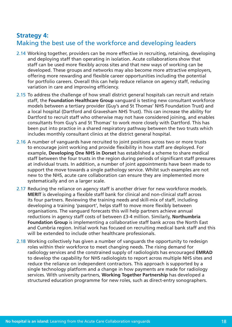# **Strategy 4:** Making the best use of the workforce and developing leaders

- 2.14 Working together, providers can be more effective in recruiting, retaining, developing and deploying staff than operating in isolation. Acute collaborations show that staff can be used more flexibly across sites and that new ways of working can be developed. These groups and networks may also become more attractive employers, offering more rewarding and flexible career opportunities including the potential for portfolio careers. Overall this can help reduce reliance on agency staff, reducing variation in care and improving efficiency.
- 2.15 To address the challenge of how small district general hospitals can recruit and retain staff, the **Foundation Healthcare Group** vanguard is testing new consultant workforce models between a tertiary provider (Guy's and St Thomas' NHS Foundation Trust) and a local hospital (Dartford and Gravesham NHS Trust). This can increase the ability for Dartford to recruit staff who otherwise may not have considered joining, and enables consultants from Guy's and St Thomas' to work more closely with Dartford. This has been put into practice in a shared respiratory pathway between the two trusts which includes monthly consultant clinics at the district general hospital.
- 2.16 A number of vanguards have recruited to joint positions across two or more trusts to encourage joint working and provide flexibility in how staff are deployed. For example, **Developing One NHS in Dorset** has established a scheme to share medical staff between the four trusts in the region during periods of significant staff pressures at individual trusts. In addition, a number of joint appointments have been made to support the move towards a single pathology service. Whilst such examples are not new to the NHS, acute care collaboration can ensure they are implemented more systematically and on a larger scale.
- 2.17 Reducing the reliance on agency staff is another driver for new workforce models. **MERIT** is developing a flexible staff bank for clinical and non-clinical staff across its four partners. Reviewing the training needs and skill-mix of staff, including developing a training 'passport', helps staff to move more flexibly between organisations. The vanguard forecasts this will help partners achieve annual reductions in agency staff costs of between £3-4 million. Similarly, **Northumbria Foundation Group** is implementing a collaborative staff bank across the North East and Cumbria region. Initial work has focused on recruiting medical bank staff and this will be extended to include other healthcare professionals.
- 2.18 Working collectively has given a number of vanguards the opportunity to redesign roles within their workforce to meet changing needs. The rising demand for radiology services and the constrained supply of radiologists has encouraged **EMRAD** to develop the capability for NHS radiologists to report across multiple NHS sites and reduce the reliance on independent contractors. This approach is supported by a single technology platform and a change in how payments are made for radiology services. With university partners, **Working Together Partnership** has developed a structured education programme for new roles, such as direct-entry sonographers.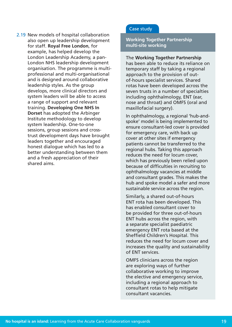2.19 New models of hospital collaboration also open up leadership development for staff. **Royal Free London**, for example, has helped develop the London Leadership Academy, a pan-London NHS leadership development organisation. The programme is multiprofessional and multi-organisational and is designed around collaborative leadership styles. As the group develops, more clinical directors and system leaders will be able to access a range of support and relevant training. **Developing One NHS In Dorset** has adopted the Arbinger Institute methodology to develop system leadership. One-to-one sessions, group sessions and crosstrust development days have brought leaders together and encouraged honest dialogue which has led to a better understanding between them and a fresh appreciation of their shared aims.

### Case study

**Working Together Partnership multi-site working**

The **Working Together Partnership** has been able to reduce its reliance on temporary staff by taking a regional approach to the provision of outof-hours specialist services. Shared rotas have been developed across the seven trusts in a number of specialties including ophthalmology, ENT (ear, nose and throat) and OMFS (oral and maxillofacial surgery).

In ophthalmology, a regional 'hub-andspoke' model is being implemented to ensure consultant-led cover is provided for emergency care, with back up cover at other sites if emergency patients cannot be transferred to the regional hubs. Taking this approach reduces the need for locum cover, which has previously been relied upon because of difficulties in recruiting to ophthalmology vacancies at middle and consultant grades. This makes the hub and spoke model a safer and more sustainable service across the region.

Similarly, a shared out-of-hours ENT rota has been developed. This has enabled consultant cover to be provided for three out-of-hours ENT hubs across the region, with a separate specialist paediatric emergency ENT rota based at the Sheffield Children's Hospital. This reduces the need for locum cover and increases the quality and sustainability of ENT services.

OMFS clinicians across the region are exploring ways of further collaborative working to improve the elective and emergency service, including a regional approach to consultant rotas to help mitigate consultant vacancies.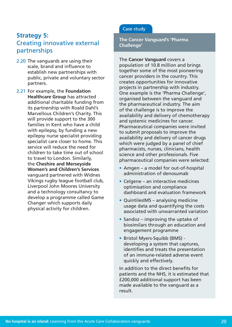# **Strategy 5:** Creating innovative external partnerships

- 2.20 The vanguards are using their scale, brand and influence to establish new partnerships with public, private and voluntary sector partners.
- 2.21 For example, the **Foundation Healthcare Group** has attracted additional charitable funding from its partnership with Roald Dahl's Marvellous Children's Charity. This will provide support to the 300 families in Kent who have a child with epilepsy, by funding a new epilepsy nurse specialist providing specialist care closer to home. This service will reduce the need for children to take time out of school to travel to London. Similarly, the **Cheshire and Merseyside Women's and Children's Services** vanguard partnered with Widnes Vikings rugby league football club, Liverpool John Moores University and a technology consultancy to develop a programme called Game Changer which supports daily physical activity for children.

### Case study

**The Cancer Vanguard's 'Pharma Challenge'**

### The **Cancer Vanguard** covers a

population of 10.8 million and brings together some of the most pioneering cancer providers in the country. This creates opportunities for innovative projects in partnership with industry. One example is the 'Pharma Challenge', organised between the vanguard and the pharmaceutical industry. The aim of the challenge is to improve the availability and delivery of chemotherapy and systemic medicines for cancer. Pharmaceutical companies were invited to submit proposals to improve the availability and delivery of cancer drugs which were judged by a panel of chief pharmacists, nurses, clinicians, health science and other professionals. Five pharmaceutical companies were selected:

- Amgen a model for out-of-hospital administration of denosumab
- Celgene an interactive medicines optimisation and compliance dashboard and evaluation framework
- QuintilesIMS analysing medicine usage data and quantifying the costs associated with unwarranted variation
- $\bullet$  Sandoz improving the uptake of biosimilars through an education and engagement programme
- Bristol Myers-Squibb (BMS) developing a system that captures, identifies and treats the presentation of an immune-related adverse event quickly and effectively.

In addition to the direct benefits for patients and the NHS, it is estimated that £200,000 additional support has been made available to the vanguard as a result.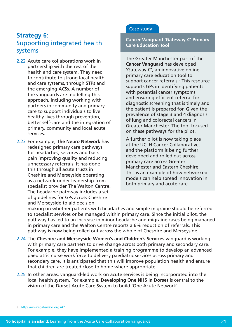# **Strategy 6:** Supporting integrated health systems

- 2.22 Acute care collaborations work in partnership with the rest of the health and care system. They need to contribute to strong local health and care systems, through STPs and the emerging ACSs. A number of the vanguards are modelling this approach, including working with partners in community and primary care to support individuals to live healthy lives through prevention, better self-care and the integration of primary, community and local acute services.
- 2.23 For example, **The Neuro Network** has redesigned primary care pathways for headaches, seizures and back pain improving quality and reducing unnecessary referrals. It has done this through all acute trusts in Cheshire and Merseyside operating as a network under leadership from specialist provider The Walton Centre. The headache pathway includes a set of guidelines for GPs across Cheshire and Merseyside to aid decision

### Case study

**Cancer Vanguard 'Gateway-C' Primary Care Education Tool**

The Greater Manchester part of the **Cancer Vanguard** has developed 'Gateway-C', an innovative online primary care education tool to support cancer referrals.<sup>9</sup> This resource supports GPs in identifying patients with potential cancer symptoms, and ensuring efficient referral for diagnostic screening that is timely and the patient is prepared for. Given the prevalence of stage 3 and 4 diagnosis of lung and colorectal cancers in Greater Manchester. The tool focused on these pathways for the pilot.

A further pilot is now taking place at the UCLH Cancer Collaborative, and the platform is being further developed and rolled out across primary care across Greater Manchester and Eastern Cheshire. This is an example of how networked models can help spread innovation in both primary and acute care.

making on whether patients with headaches and simple migraine should be referred to specialist services or be managed within primary care. Since the initial pilot, the pathway has led to an increase in minor headache and migraine cases being managed in primary care and the Walton Centre reports a 6% reduction of referrals. This pathway is now being rolled out across the whole of Cheshire and Merseyside.

- 2.24 The **Cheshire and Merseyside Women's and Children's Services** vanguard is working with primary care partners to drive change across both primary and secondary care. For example, they have implemented a training programme to develop an advanced paediatric nurse workforce to delivery paediatric services across primary and secondary care. It is anticipated that this will improve population health and ensure that children are treated close to home where appropriate.
- 2.25 In other areas, vanguard-led work on acute services is being incorporated into the local health system. For example, **Developing One NHS in Dorset** is central to the vision of the Dorset Acute Care System to build 'One Acute Network'.

9 [https://www.gatewayc.org.uk/.](https://www.gatewayc.org.uk/)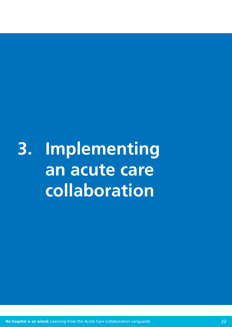<span id="page-21-0"></span>**3. Implementing an acute care collaboration**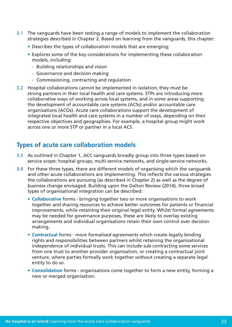- 3.1 The vanguards have been testing a range of models to implement the collaboration strategies described in Chapter 2. Based on learning from the vanguards, this chapter:
	- Describes the types of collaboration models that are emerging;
	- Explores some of the key considerations for implementing these collaboration models, including:
		- Building relationships and vision
		- Governance and decision making
		- Commissioning, contracting and regulation
- 3.2 Hospital collaborations cannot be implemented in isolation; they must be strong partners in their local health and care systems. STPs are introducing more collaborative ways of working across local systems, and in some areas supporting the development of accountable care systems (ACSs) and/or accountable care organisations (ACOs). Acute care collaborations support the development of integrated local health and care systems in a number of ways, depending on their respective objectives and geographies. For example, a hospital group might work across one or more STP or partner in a local ACS.

# **Types of acute care collaboration models**

- 3.3 As outlined in Chapter 1, ACC vanguards broadly group into three types based on service scope: hospital groups, multi-service networks, and single-service networks.
- 3.4 For these three types, there are different models of organising which the vanguards and other acute collaborations are implementing. This reflects the various strategies the collaborations are pursuing (as described in Chapter 2) as well as the degree of business change envisaged. Building upon the Dalton Review (2014), three broad types of organisational integration can be described:
	- **• Collaborative** forms bringing together two or more organisations to work together and sharing resources to achieve better outcomes for patients or financial improvements, while retaining their original legal entity. Whilst formal agreements may be needed for governance purposes, these are likely to overlay existing arrangements and individual organisations retain their own control over decision making.
	- **Contractual forms more formalised agreements which create legally binding** rights and responsibilities between partners whilst retaining the organisational independence of individual trusts. This can include sub-contracting some services from one trust to another provider organisation, or creating a contractual joint venture, where parties formally work together without creating a separate legal entity to do so.
	- **Consolidation** forms organisations come together to form a new entity, forming a new or merged organisation.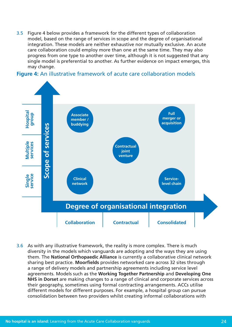3.5 Figure 4 below provides a framework for the different types of collaboration model, based on the range of services in scope and the degree of organisational integration. These models are neither exhaustive nor mutually exclusive. An acute care collaboration could employ more than one at the same time. They may also progress from one type to another over time, although it is not suggested that any single model is preferential to another. As further evidence on impact emerges, this may change.

### **Figure 4:** An illustrative framework of acute care collaboration models



3.6 As with any illustrative framework, the reality is more complex. There is much diversity in the models which vanguards are adopting and the ways they are using them. The **National Orthopaedic Alliance** is currently a collaborative clinical network sharing best practice. **Moorfields** provides networked care across 32 sites through a range of delivery models and partnership agreements including service level agreements. Models such as the **Working Together Partnership** and **Developing One NHS in Dorset** are making changes to a range of clinical and corporate services across their geography, sometimes using formal contracting arrangements. ACCs utilise different models for different purposes. For example, a hospital group can pursue consolidation between two providers whilst creating informal collaborations with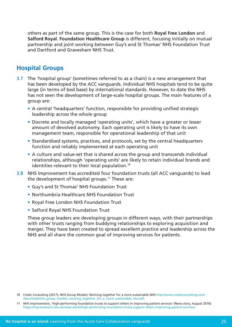others as part of the same group. This is the case for both **Royal Free London** and **Salford Royal**. **Foundation Healthcare Group** is different, focusing initially on mutual partnership and joint working between Guy's and St Thomas' NHS Foundation Trust and Dartford and Gravesham NHS Trust.

# **Hospital Groups**

- 3.7 The 'hospital group' (sometimes referred to as a chain) is a new arrangement that has been developed by the ACC vanguards. Individual NHS hospitals tend to be quite large (in terms of bed base) by international standards. However, to date the NHS has not seen the development of large-scale hospital groups. The main features of a group are:
	- A central 'headquarters' function, responsible for providing unified strategic leadership across the whole group
	- Discrete and locally managed 'operating units', which have a greater or lesser amount of devolved autonomy. Each operating unit is likely to have its own management team, responsible for operational leadership of that unit
	- Standardised systems, practices, and protocols, set by the central headquarters function and reliably implemented at each operating unit
	- A culture and value-set that is shared across the group and transcends individual relationships, although 'operating units' are likely to retain individual brands and identities relevant to their local population.<sup>10</sup>
- 3.8 NHS Improvement has accredited four foundation trusts (all ACC vanguards) to lead the development of hospital groups.11 These are:
	- Guy's and St Thomas' NHS Foundation Trust
	- Northumbria Healthcare NHS Foundation Trust
	- Royal Free London NHS Foundation Trust
	- Salford Royal NHS Foundation Trust

These group leaders are developing groups in different ways, with their partnerships with other trusts ranging from buddying relationships to exploring acquisition and merger. They have been created to spread excellent practice and leadership across the NHS and all share the common goal of improving services for patients.

<sup>10</sup> Credo Consulting (2017), NHS Group Models: Working together for a more sustainable NHS [http://www.credoconsulting.com/](http://www.credoconsulting.com/downloads/nhs_group_models_working_together_for_a_more_sustainable_nhs.pdf) [downloads/nhs\\_group\\_models\\_working\\_together\\_for\\_a\\_more\\_sustainable\\_nhs.pdf.](http://www.credoconsulting.com/downloads/nhs_group_models_working_together_for_a_more_sustainable_nhs.pdf)

<sup>11</sup> NHS Improvement, 'High-performing foundation trusts to support others in improving patient services' (News story, August 2016): <https://improvement.nhs.uk/news-alerts/high-performing-foundation-trusts-support-others-improving-patient-services/>.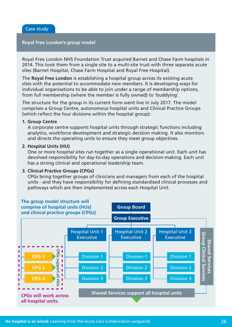### **Royal Free London's group model**

Royal Free London NHS Foundation Trust acquired Barnet and Chase Farm hospitals in 2014. This took them from a single site to a multi-site trust with three separate acute sites (Barnet Hospital, Chase Farm Hospital and Royal Free Hospital).

The **Royal Free London** is establishing a hospital group across its existing acute sites with the potential to accommodate new members. It is developing ways for individual organisations to be able to join under a range of membership options, from full membership (where the member is fully owned) to 'buddying'.

The structure for the group in its current form went live in July 2017. The model comprises a Group Centre, autonomous hospital units and Clinical Practice Groups (which reflect the four divisions within the hospital group):

#### **1. Group Centre**

A corporate centre supports hospital units through strategic functions including analytics, workforce development and strategic decision making. It also monitors and directs the operating units to ensure they meet group objectives.

### **2. Hospital Units (HU)**

One or more hospital sites run together as a single operational unit. Each unit has devolved responsibility for day-to-day operations and decision-making. Each unit has a strong clinical and operational leadership team.

### **3. Clinical Practice Groups (CPGs)**

CPGs bring together groups of clinicians and managers from each of the hospital units - and they have responsibility for defining standardised clinical processes and pathways which are then implemented across each Hospital Unit.

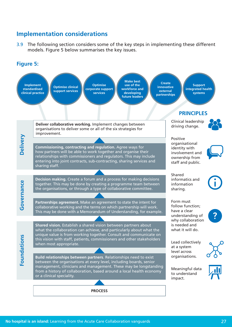# **Implementation considerations**

3.9 The following section considers some of the key steps in implementing these different models. Figure 5 below summarises the key issues.

### **Figure 5:**

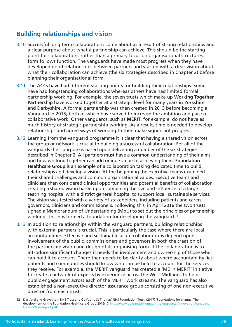# **Building relationships and vision**

- 3.10 Successful long term collaborations come about as a result of strong relationships and a clear purpose about what a partnership can achieve. This should be the starting point for collaborations rather than a primary focus on organisational structures; form follows function. The vanguards have made most progress when they have developed good relationships between partners and started with a clear vision about what their collaboration can achieve (the six strategies described in Chapter 2) before planning their organisational form.
- 3.11 The ACCs have had different starting points for building their relationships. Some have had longstanding collaborations whereas others have had limited formal partnership working. For example, the seven trusts which make up **Working Together Partnership** have worked together at a strategic level for many years in Yorkshire and Derbyshire. A formal partnership was then created in 2013 before becoming a Vanguard in 2015; both of which have served to increase the ambition and pace of collaborative work. Other vanguards, such as **MERIT**, for example, do not have as much history of strategic partnership working. As a result, time is needed to develop relationships and agree ways of working to then make significant progress.
- 3.12 Learning from the vanguard programme it is clear that having a shared vision across the group or network is crucial to building a successful collaboration. For all of the vanguards their purpose is based upon delivering a number of the six strategies described in Chapter 2. All partners must have a common understanding of their aims and how working together can add unique value to achieving them. **Foundation Healthcare Group** is an example of a collaboration taking dedicated time to build relationships and develop a vision. At the beginning the executive teams examined their shared challenges and common organisational values. Executive teams and clinicians then considered clinical opportunities and potential benefits of collaboration, creating a shared vision based upon combining the size and influence of a large teaching hospital with a district general hospital to support local, sustainable services. The vision was tested with a variety of stakeholders, including patients and carers, governors, clinicians and commissioners. Following this, in April 2016 the two trusts signed a Memorandum of Understanding (MoU) to set out the principles of partnership working. This has formed a foundation for developing the vanguard.<sup>12</sup>
- 3.13 In addition to relationships within the vanguard partners, building relationships with external partners is crucial. This is particularly the case where there are local accountabilities. Effective and sustainable acute collaborations depend upon involvement of the public, commissioners and governors in both the creation of the partnership vision and design of its organising form. If the collaboration is to introduce significant changes it needs the involvement and ownership of those who can hold it to account. There then needs to be clarity about where accountability lies; patients and communities should know who can be held to account for the services they receive. For example, the **MERIT** vanguard has created a 'ME in MERIT' initiative to create a network of experts by experience across the West Midlands to help public engagement across each of the MERIT work streams. The vanguard has also established a non-executive director assurance group consisting of one non-executive director from each trust.

<sup>12</sup> Dartford and Gravesham NHS Trust and Guy's and St Thomas' NHS Foundation Trust, (2017) 'Foundations for change: The development of the Foundation Healthcare Group 2016/17' [http://www.guysandstthomas.nhs.uk/resources/innovation/Vanguard-](http://www.guysandstthomas.nhs.uk/resources/innovation/Vanguard-End-of-Year-Report.pdf)[End-of-Year-Report.pdf.](http://www.guysandstthomas.nhs.uk/resources/innovation/Vanguard-End-of-Year-Report.pdf)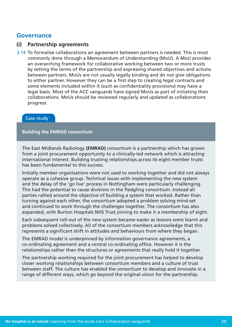# **Governance**

### **(i) Partnership agreements**

3.14 To formalise collaborations an agreement between partners is needed. This is most commonly done through a Memorandum of Understanding (MoU). A MoU provides an overarching framework for collaborative working between two or more trusts by setting the terms of the partnership and expressing shared objectives and actions between partners. MoUs are not usually legally binding and do not give obligations to either partner. However they can be a first step to creating legal contracts and some elements included within it (such as confidentiality provisions) may have a legal basis. Most of the ACC vanguards have signed MoUs as part of initiating their collaborations. MoUs should be reviewed regularly and updated as collaborations progress.

### Case study

### **Building the EMRAD consortium**

The East Midlands Radiology **(EMRAD)** consortium is a partnership which has grown from a joint procurement opportunity to a clinically-led network which is attracting international interest. Building trusting relationships across its eight member trusts has been fundamental to this success.

Initially member organisations were not used to working together and did not always operate as a cohesive group. Technical issues with implementing the new system and the delay of the 'go live' process in Nottingham were particularly challenging. This had the potential to cause divisions in the fledgling consortium. Instead all parties rallied around the objective of building a system that worked. Rather than turning against each other, the consortium adopted a problem solving mind-set and continued to work through the challenges together. The consortium has also expanded, with Burton Hospitals NHS Trust joining to make it a membership of eight.

Each subsequent roll-out of the new system became easier as lessons were learnt and problems solved collectively. All of the consortium members acknowledge that this represents a significant shift in attitudes and behaviours from where they began.

The EMRAD model is underpinned by information governance agreements, a co-ordinating agreement and a central co-ordinating office. However it is the relationships rather than the structures or agreements that really hold it together.

The partnership working required for the joint procurement has helped to develop closer working relationships between consortium members and a culture of trust between staff. The culture has enabled the consortium to develop and innovate in a range of different ways, which go beyond the original vision for the partnership.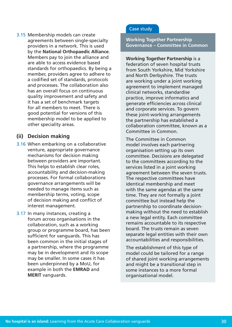3.15 Membership models can create agreements between single-specialty providers in a network. This is used by the **National Orthopaedic Alliance**. Members pay to join the alliance and are able to access evidence based standards for orthopaedics. By being a member, providers agree to adhere to a codified set of standards, protocols and processes. The collaboration also has an overall focus on continuous quality improvement and safety and it has a set of benchmark targets for all members to meet. There is good potential for versions of this membership model to be applied to other speciality areas.

### **(ii) Decision making**

- 3.16 When embarking on a collaborative venture, appropriate governance mechanisms for decision making between providers are important. This helps to establish clear roles, accountability and decision-making processes. For formal collaborations governance arrangements will be needed to manage items such as membership terms, voting, scope of decision making and conflict of interest management.
- 3.17 In many instances, creating a forum across organisations in the collaboration, such as a working group or programme board, has been sufficient for vanguards. This has been common in the initial stages of a partnership, where the programme may be in development and its scope may be smaller. In some cases it has been underpinned by a MoU, for example in both the **EMRAD** and **MERIT** vanguards.

### Case study

### **Working Together Partnership Governance – Committee in Common**

**Working Together Partnership** is a federation of seven hospital trusts from South Yorkshire, Mid Yorkshire and North Derbyshire. The trusts are working under a joint working agreement to implement managed clinical networks, standardise practice, improve informatics and generate efficiencies across clinical and corporate services. To govern these joint-working arrangements the partnership has established a collaboration committee, known as a Committee in Common.

The Committee in Common model involves each partnering organisation setting up its own committee. Decisions are delegated to the committees according to the services listed in a joint working agreement between the seven trusts. The respective committees have identical membership and meet with the same agendas at the same time. They are not formally a joint committee but instead help the partnership to coordinate decisionmaking without the need to establish a new legal entity. Each committee remains accountable to its respective board. The trusts remain as seven separate legal entities with their own accountabilities and responsibilities.

The establishment of this type of model could be tailored for a range of shared joint working arrangements and might be a transitional step in some instances to a more formal organisational model.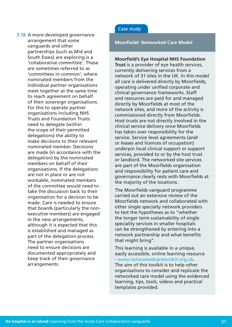3.18 A more developed governance arrangement that some vanguards and other partnerships (such as Mid and South Essex) are exploring is a 'collaborative committee'. These are sometimes referred to as 'committees in common'; where nominated members from the individual partner organisations meet together at the same time to reach agreement on behalf of their sovereign organisations. For this to operate partner organisations including NHS Trusts and Foundation Trusts need to delegate (within the scope of their permitted delegations) the ability to make decisions to their relevant nominated member. Decisions are made (in accordance with the delegation) by the nominated members on behalf of their organisations. If the delegations are not in place or are not workable, nominated members of the committee would need to take the discussion back to their organisation for a decision to be made. Care is needed to ensure that boards (particularly the nonexecutive members) are engaged in the new arrangements, although it is expected that this is established and managed as part of the delegation process. The partner organisations need to ensure decisions are documented appropriately and keep track of their governance arrangements.

### Case study

### **Moorfields' Networked Care Model**

### **Moorfield's Eye Hospital NHS Foundation**

**Trust** is a provider of eye health services, currently delivering services from a network of 31 sites in the UK. In this model all care is delivered directly by Moorfields, operating under unified corporate and clinical governance frameworks. Staff and resources are paid for and managed directly by Moorfields at most of the network sites, and more of the activity is commissioned directly from Moorfields. Host trusts are not directly involved in the clinical service delivery once Moorfields has taken over responsibility for the service. Service level agreements (and/ or leases and licences of occupation) underpin local clinical support or support services, provided to or by the host trust or landlord. The networked site services are part of the Moorfields organisation and responsibility for patient care and governance clearly rests with Moorfields at the majority of the locations.

The Moorfields vanguard programme carried out an extensive review of the Moorfields network and collaborated with other single specialty network providers to test the hypotheses as to "whether the longer term sustainability of single speciality services in smaller hospitals can be strengthened by entering into a network partnership and what benefits that might bring".

This learning is available in a unique, easily accessible, online learning resource - [www.networkedcaretoolkit.org.uk.](http://www.networkedcaretoolkit.org.uk) The aim of this toolkit is to help other organisations to consider and replicate the networked care model using the evidenced learning, tips, tools, videos and practical templates provided.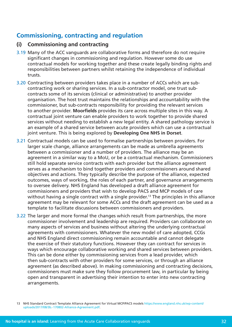# **Commissioning, contracting and regulation**

# **(i) Commissioning and contracting**

- 3.19 Many of the ACC vanguards are collaborative forms and therefore do not require significant changes in commissioning and regulation. However some do use contractual models for working together and these create legally binding rights and responsibilities between partners whilst retaining the independence of individual trusts.
- 3.20 Contracting between providers takes place in a number of ACCs which are subcontracting work or sharing services. In a sub-contractor model, one trust subcontracts some of its services (clinical or administrative) to another provider organisation. The host trust maintains the relationships and accountability with the commissioner, but sub-contracts responsibility for providing the relevant services to another provider. **Moorfields** provides its care across multiple sites in this way. A contractual joint venture can enable providers to work together to provide shared services without needing to establish a new legal entity. A shared pathology service is an example of a shared service between acute providers which can use a contractual joint venture. This is being explored by **Developing One NHS in Dorset**.
- 3.21 Contractual models can be used to formalise partnerships between providers. For larger scale change, alliance arrangements can be made as umbrella agreements between a commissioner and a number of providers. The alliance may be an agreement in a similar way to a MoU, or be a contractual mechanism. Commissioners still hold separate service contracts with each provider but the alliance agreement serves as a mechanism to bind together providers and commissioners around shared objectives and actions. They typically describe the purpose of the alliance, expected outcomes, ways of working, the roles of each partner, and governance arrangements to oversee delivery. NHS England has developed a draft alliance agreement for commissioners and providers that wish to develop PACS and MCP models of care without having a single contract with a single provider.<sup>13</sup> The principles in this alliance agreement may be relevant for some ACCs and the draft agreement can be used as a template to facilitate discussions between commissioners and providers.
- 3.22 The larger and more formal the changes which result from partnerships, the more commissioner involvement and leadership are required. Providers can collaborate on many aspects of services and business without altering the underlying contractual agreements with commissioners. Whatever the new model of care adopted, CCGs and NHS England direct commissioning remain accountable and cannot delegate the exercise of their statutory functions. However they can contract for services in ways which encourage collaborative working and shared services between providers. This can be done either by commissioning services from a lead provider, which then sub-contracts with other providers for some services, or through an alliance agreement (as described above). In making commissioning and contracting decisions, commissioners must make sure they follow procurement law, in particular by being open and transparent in advertising their intention to enter into new contracting arrangements.

<sup>13</sup> NHS Standard Contract Template Alliance Agreement for Virtual MCP/PACS models [https://www.england.nhs.uk/wp-content/](https://www.england.nhs.uk/wp-content/uploads/2017/08/3b.-170802-Alliance-Agreement.pdf) [uploads/2017/08/3b.-170802-Alliance-Agreement.pdf.](https://www.england.nhs.uk/wp-content/uploads/2017/08/3b.-170802-Alliance-Agreement.pdf)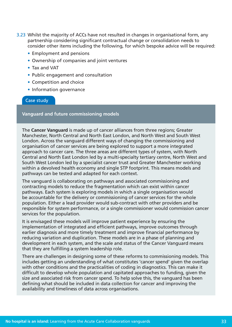- 3.23 Whilst the majority of ACCs have not resulted in changes in organisational form, any partnership considering significant contractual change or consolidation needs to consider other items including the following, for which bespoke advice will be required:
	- Employment and pensions
	- Ownership of companies and joint ventures
	- Tax and VAT
	- Public engagement and consultation
	- Competition and choice
	- Information governance

### Case study

**Vanguard and future commissioning models** 

The **Cancer Vanguard** is made up of cancer alliances from three regions; Greater Manchester, North Central and North East London, and North West and South West London. Across the vanguard different ways of changing the commissioning and organisation of cancer services are being explored to support a more integrated approach to cancer care. The three areas are different types of system, with North Central and North East London led by a multi-specialty tertiary centre, North West and South West London led by a specialist cancer trust and Greater Manchester working within a devolved health economy and single STP footprint. This means models and pathways can be tested and adapted for each context.

The vanguard is collaborating on pathways and associated commissioning and contracting models to reduce the fragmentation which can exist within cancer pathways. Each system is exploring models in which a single organisation would be accountable for the delivery or commissioning of cancer services for the whole population. Either a lead provider would sub-contract with other providers and be responsible for system performance, or a single commissioner would commission cancer services for the population.

It is envisaged these models will improve patient experience by ensuring the implementation of integrated and efficient pathways, improve outcomes through earlier diagnosis and more timely treatment and improve financial performance by reducing variation and duplication. These models are in a phase of planning and development in each system, and the scale and status of the Cancer Vanguard means that they are fulfilling a system leadership role.

There are challenges in designing some of these reforms to commissioning models. This includes getting an understanding of what constitutes 'cancer spend' given the overlap with other conditions and the practicalities of coding in diagnostics. This can make it difficult to develop whole population and capitated approaches to funding, given the size and associated risk from cancer spend. To help solve this, the vanguard has been defining what should be included in data collection for cancer and improving the availability and timeliness of data across organisations.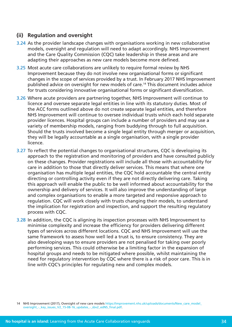# **(ii) Regulation and oversight**

- 3.24 As the provider landscape changes with organisations working in new collaborative models, oversight and regulation will need to adapt accordingly. NHS Improvement and the Care Quality Commission (CQC) take leadership in these areas and are adapting their approaches as new care models become more defined.
- 3.25 Most acute care collaborations are unlikely to require formal review by NHS Improvement because they do not involve new organisational forms or significant changes in the scope of services provided by a trust. In February 2017 NHS Improvement published advice on oversight for new models of care.14 This document includes advice for trusts considering innovative organisational forms or significant diversification.
- 3.26 Where acute providers are partnering together, NHS Improvement will continue to licence and oversee separate legal entities in line with its statutory duties. Most of the ACC forms outlined above do not create separate legal entities, and therefore NHS Improvement will continue to oversee individual trusts which each hold separate provider licences. Hospital groups can include a number of providers and may use a variety of membership models, ranging from buddying through to full acquisition. Should the trusts involved become a single legal entity through merger or acquisition, they will be legally accountable as a single organisation, with a single provider licence.
- 3.27 To reflect the potential changes to organisational structures, CQC is developing its approach to the registration and monitoring of providers and have consulted publicly on these changes. Provider registrations will include all those with accountability for care in addition to those that directly deliver services. This means that where one organisation has multiple legal entities, the CQC hold accountable the central entity directing or controlling activity even if they are not directly delivering care. Taking this approach will enable the public to be well informed about accountability for the ownership and delivery of services. It will also improve the understanding of large and complex organisations to enable a more targeted and responsive approach to regulation. CQC will work closely with trusts changing their models, to understand the implication for registration and inspection, and support the resulting regulatory process with CQC.
- 3.28 In addition, the CQC is aligning its inspection processes with NHS Improvement to minimise complexity and increase the efficiency for providers delivering different types of services across different locations. CQC and NHS Improvement will use the same framework to assess how well led a trust is, to ensure consistency. They are also developing ways to ensure providers are not penalised for taking over poorly performing services. This could otherwise be a limiting factor in the expansion of hospital groups and needs to be mitigated where possible, whilst maintaining the need for regulatory intervention by CQC where there is a risk of poor care. This is in line with CQC's principles for regulating new and complex models.

14 NHS Improvement (2017), Oversight of new care models [https://improvement.nhs.uk/uploads/documents/New\\_care\\_model\\_](https://improvement.nhs.uk/uploads/documents/New_care_model_oversight_-_key_issues_V2_15-08-16_updates_-_sbv2_edNS_final.pdf) [oversight\\_-\\_key\\_issues\\_V2\\_15-08-16\\_updates\\_-\\_sbv2\\_edNS\\_final.pdf](https://improvement.nhs.uk/uploads/documents/New_care_model_oversight_-_key_issues_V2_15-08-16_updates_-_sbv2_edNS_final.pdf).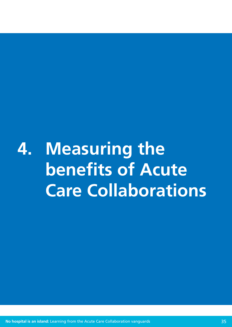<span id="page-34-0"></span>**4. Measuring the benefits of Acute Care Collaborations**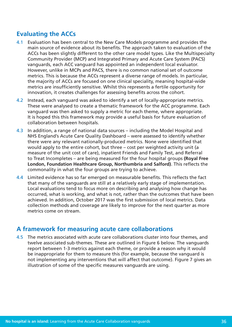# **Evaluating the ACCs**

- 4.1 Evaluation has been central to the New Care Models programme and provides the main source of evidence about its benefits. The approach taken to evaluation of the ACCs has been slightly different to the other care model types. Like the Multispecialty Community Provider (MCP) and Integrated Primary and Acute Care System (PACS) vanguards, each ACC vanguard has appointed an independent local evaluator. However, unlike in MCPs and PACS, there is no common national set of outcome metrics. This is because the ACCs represent a diverse range of models. In particular, the majority of ACCs are focused on one clinical speciality, meaning hospital-wide metrics are insufficiently sensitive. Whilst this represents a fertile opportunity for innovation, it creates challenges for assessing benefits across the cohort.
- 4.2 Instead, each vanguard was asked to identify a set of locally-appropriate metrics. These were analysed to create a thematic framework for the ACC programme. Each vanguard was then asked to supply a metric for each theme, where appropriate. It is hoped this this framework may provide a useful basis for future evaluation of collaboration between hospitals.
- 4.3 In addition, a range of national data sources including the Model Hospital and NHS England's Acute Care Quality Dashboard – were assessed to identify whether there were any relevant nationally-produced metrics. None were identified that would apply to the entire cohort, but three – cost per weighted activity unit (a measure of the unit cost of care), inpatient Friends and Family Test, and Referral to Treat Incompletes – are being measured for the four hospital groups **(Royal Free London, Foundation Healthcare Group, Northumbria and Salford)**. This reflects the commonality in what the four groups are trying to achieve.
- 4.4 Limited evidence has so far emerged on measurable benefits. This reflects the fact that many of the vanguards are still at a relatively early stage of implementation. Local evaluations tend to focus more on describing and analysing how change has occurred, what is working, and what is not, rather than the outcomes that have been achieved. In addition, October 2017 was the first submission of local metrics. Data collection methods and coverage are likely to improve for the next quarter as more metrics come on stream.

# **A framework for measuring acute care collaborations**

4.5 The metrics associated with acute care collaborations cluster into four themes, and twelve associated sub-themes. These are outlined in Figure 6 below. The vanguards report between 1-3 metrics against each theme, or provide a reason why it would be inappropriate for them to measure this (for example, because the vanguard is not implementing any interventions that will affect that outcome). Figure 7 gives an illustration of some of the specific measures vanguards are using.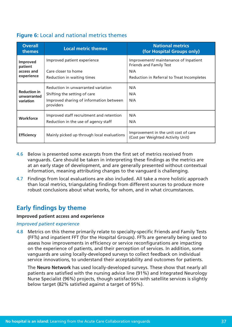# **Figure 6:** Local and national metrics themes

| <b>Overall</b><br>themes                        | <b>Local metric themes</b>                                                                                                 | <b>National metrics</b><br>(for Hospital Groups only)                                                                        |
|-------------------------------------------------|----------------------------------------------------------------------------------------------------------------------------|------------------------------------------------------------------------------------------------------------------------------|
| Improved<br>patient<br>access and<br>experience | Improved patient experience<br>Care closer to home<br>Reduction in waiting times                                           | Improvement/ maintenance of Inpatient<br><b>Friends and Family Test</b><br>N/A<br>Reduction in Referral to Treat Incompletes |
| <b>Reduction in</b><br>unwarranted<br>variation | Reduction in unwarranted variation<br>Shifting the setting of care<br>Improved sharing of information between<br>providers | N/A<br>N/A<br>N/A                                                                                                            |
| <b>Workforce</b>                                | Improved staff recruitment and retention<br>Reduction in the use of agency staff                                           | N/A<br>N/A                                                                                                                   |
| <b>Efficiency</b>                               | Mainly picked up through local evaluations                                                                                 | Improvement in the unit cost of care<br>(Cost per Weighted Activity Unit)                                                    |

- 4.6 Below is presented some excerpts from the first set of metrics received from vanguards. Care should be taken in interpreting these findings as the metrics are at an early stage of development, and are generally presented without contextual information, meaning attributing changes to the vanguard is challenging.
- 4.7 Findings from local evaluations are also included. All take a more holistic approach than local metrics, triangulating findings from different sources to produce more robust conclusions about what works, for whom, and in what circumstances.

# **Early findings by theme**

### **Improved patient access and experience**

### *Improved patient experience*

4.8 Metrics on this theme primarily relate to specialty-specific Friends and Family Tests (FFTs) and inpatient FFT (for the Hospital Groups). FFTs are generally being used to assess how improvements in efficiency or service reconfigurations are impacting on the experience of patients, and their perception of services. In addition, some vanguards are using locally-developed surveys to collect feedback on individual service innovations, to understand their acceptability and outcomes for patients.

The **Neuro Network** has used locally-developed surveys. These show that nearly all patients are satisfied with the nursing advice line (91%) and Integrated Neurology Nurse Specialist (96%) projects, though satisfaction with satellite services is slightly below target (82% satisfied against a target of 95%).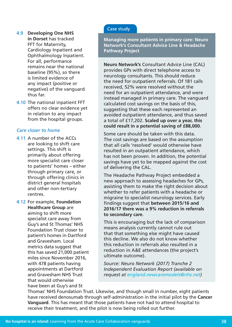### Case study

**Managing more patients in primary care: Neuro Network's Consultant Advice Line & Headache Pathway Project**

**Neuro Network's** Consultant Advice Line (CAL) provides GPs with direct telephone access to neurology consultants. This should reduce the need for outpatient referrals. Of 181 calls received, 52% were resolved without the need for an outpatient attendance, and were instead managed in primary care. The vanguard calculated cost savings on the basis of this, suggesting that these each represented an avoided outpatient attendance, and thus saved a total of £17,202. **Scaled up over a year, this could result in a potential saving of £88,000**.

Some care should be taken with this data. The cost savings are based on the assumption that all calls 'resolved' would otherwise have resulted in an outpatient attendance, which has not been proven. In addition, the potential savings have yet to be mapped against the cost of delivering the CAL.

The Headache Pathway Project embedded a new approach to assessing headaches for GPs, assisting them to make the right decision about whether to refer patients with a headache or migraine to specialist neurology services. Early findings suggest that **between 2015/16 and 2016/17 there was a 9% reduction in referrals to secondary care**.

This is encouraging but the lack of comparison means analysis currently cannot rule out that that something else might have caused this decline. We also do not know whether this reduction in referrals also resulted in a reduction in A&E attendances (the project's ultimate outcome).

*Source: Neuro Network (2017) Tranche 2 Independent Evaluation Report (available on request at [england.newcaremodels@nhs.net](mailto:england.newcaremodels%40nhs.net?subject=))*

Thomas' NHS Foundation Trust. Likewise, and though small in number, eight patients have received denosumab through self-administration in the initial pilot by the **Cancer Vanguard**. This has meant that those patients have not had to attend hospital to receive their treatment, and the pilot is now being rolled out further.

4.9 **Developing One NHS in Dorset** has tracked FFT for Maternity, Cardiology Inpatient and Ophthalmology Inpatient. For all, performance remains near the national baseline (95%), so there is limited evidence of any impact (positive or negative) of the vanguard thus far.

4.10 The national inpatient FFT offers no clear evidence yet in relation to any impact from the hospital groups.

### *Care closer to home*

- 4.11 A number of the ACCs are looking to shift care settings. This shift is primarily about offering more specialist care closer to patients' homes – either through primary care, or through offering clinics in district general hospitals and other non-tertiary centres.
- 4.12 For example, **Foundation Healthcare Group** are aiming to shift more specialist care away from Guy's and St Thomas' NHS Foundation Trust closer to patient's homes in Dartford and Gravesham. Local metrics data suggest that this has saved 21,000 patient miles since November 2016, with 478 patients having appointments at Dartford and Gravesham NHS Trust that would otherwise have been at Guy's and St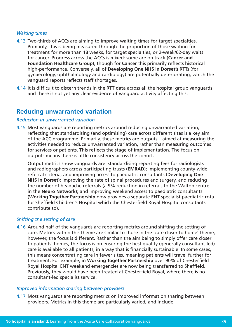### *Waiting times*

- 4.13 Two-thirds of ACCs are aiming to improve waiting times for target specialties. Primarily, this is being measured through the proportion of those waiting for treatment for more than 18 weeks, for target specialties, or 2-week/62-day waits for cancer. Progress across the ACCs is mixed: some are on track (**Cancer and Foundation Healthcare Group**), though for **Cancer** this primarily reflects historical high-performance. Conversely, all of **Developing One NHS in Dorset's** RTTs (for gynaecology, ophthalmology and cardiology) are potentially deteriorating, which the vanguard reports reflects staff shortages.
- 4.14 It is difficult to discern trends in the RTT data across all the hospital group vanguards and there is not yet any clear evidence of vanguard activity affecting this.

# **Reducing unwarranted variation**

### *Reduction in unwarranted variation*

4.15 Most vanguards are reporting metrics around reducing unwarranted variation, reflecting that standardising (and optimising) care across different sites is a key aim of the ACC programme. Primarily, these metrics are outputs – aimed at measuring the activities needed to reduce unwarranted variation, rather than measuring outcomes for services or patients. This reflects the stage of implementation. The focus on outputs means there is little consistency across the cohort.

Output metrics show vanguards are: standardising reporting fees for radiologists and radiographers across participating trusts (**EMRAD**); implementing county-wide referral criteria, and improving access to paediatric consultants (**Developing One NHS in Dorset**); improving the rate of spinal procedures and surgery, and reducing the number of headache referrals (a 9% reduction in referrals to the Walton centre in the **Neuro Network**); and improving weekend access to paediatric consultants (**Working Together Partnership** now provides a separate ENT specialist paediatric rota for Sheffield Children's Hospital which the Chesterfield Royal Hospital consultants contribute to).

### *Shifting the setting of care*

4.16 Around half of the vanguards are reporting metrics around shifting the setting of care. Metrics within this theme are similar to those in the 'care closer to home' theme, however, the focus is different. Rather than the aim being to simply offer care closer to patients' homes, the focus is on ensuring the best quality (generally consultant-led) care is available to all patients, in a way that is financially sustainable. In some cases, this means concentrating care in fewer sites, meaning patients will travel further for treatment. For example, in **Working Together Partnership** over 90% of Chesterfield Royal Hospital ENT weekend emergencies are now being transferred to Sheffield. Previously, they would have been treated at Chesterfield Royal, where there is no consultant-led specialist service.

### *Improved information sharing between providers*

4.17 Most vanguards are reporting metrics on improved information sharing between providers. Metrics in this theme are particularly varied, and include: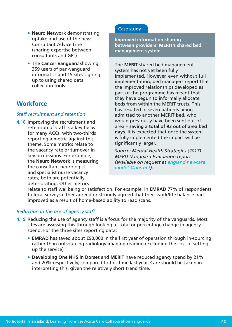- • **Neuro Network** demonstrating uptake and use of the new Consultant Advice Line (sharing expertise between consultants and GPs)
- **The Cancer Vanguard** showing 359 users of pan-vanguard informatics and 15 sites signing up to using shared data collection tools.

# **Workforce**

### *Staff recruitment and retention*

4.18 Improving the recruitment and retention of staff is a key focus for many ACCs, with two-thirds reporting a metric against this theme. Some metrics relate to the vacancy rate or turnover in key professions. For example, the **Neuro Network** is measuring the consultant neurologist and specialist nurse vacancy rates; both are potentially deteriorating. Other metrics

### Case study

**Improved information sharing between providers: MERIT's shared bed management system**

The **MERIT** shared bed management system has not yet been fully implemented. However, even without full implementation, bed managers report that the improved relationships developed as part of the programme has meant that they have begun to informally allocate beds from within the MERIT trusts. This has resulted in seven patients being admitted to another MERIT bed, who would previously have been sent out of area – **saving a total of 93 out of area bed days**. It is expected that once the system is fully implemented the impact will be significantly larger.

*Source: Mental Health Strategies (2017) MERIT Vanguard Evaluation report (available on request at [england.newcare](mailto:england.newcare%20models%40nhs.net?subject=)  [models@nhs.net\)](mailto:england.newcare%20models%40nhs.net?subject=).*

relate to staff wellbeing or satisfaction. For example, in **EMRAD** 77% of respondents to local surveys either agreed or strongly agreed that their work/life balance had improved as a result of home-based ability to read scans.

### *Reduction in the use of agency staff*

- 4.19 Reducing the use of agency staff is a focus for the majority of the vanguards. Most sites are assessing this through looking at total or percentage change in agency spend. For the three sites reporting data:
	- **EMRAD** has saved about £90,000 in the first year of operation through in-sourcing rather than outsourcing radiology imaging reading (excluding the cost of setting up the service)
	- Developing One NHS in Dorset and MERIT have reduced agency spend by 21% and 20% respectively, compared to this time last year. Care should be taken in interpreting this, given the relatively short trend time.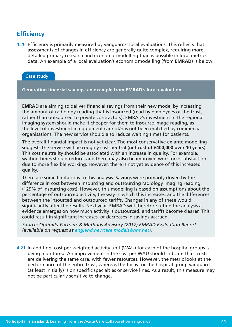# **Efficiency**

4.20 Efficiency is primarily measured by vanguards' local evaluations. This reflects that assessments of changes in efficiency are generally quite complex, requiring more detailed primary research and economic modelling than is possible in local metrics data. An example of a local evaluation's economic modelling (from **EMRAD**) is below:

### Case study

**Generating financial savings: an example from EMRAD's local evaluation**

**EMRAD** are aiming to deliver financial savings from their new model by increasing the amount of radiology reading that is insourced (read by employees of the trust, rather than outsourced to private contractors). EMRAD's investment in the regional imaging system should make it cheaper for them to insource image reading, as the level of investment in equipment cannot/has not been matched by commercial organisations. The new service should also reduce waiting times for patients.

The overall financial impact is not yet clear. The most conservative ex-ante modelling suggests the service will be roughly cost-neutral (**net cost of £400,000 over 10 years**). This cost neutrality should be associated with an increase in quality. For example, waiting times should reduce, and there may also be improved workforce satisfaction due to more flexible working. However, there is not yet evidence of this increased quality.

There are some limitations to this analysis. Savings were primarily driven by the difference in cost between insourcing and outsourcing radiology imaging reading (129% of insourcing cost). However, this modelling is based on assumptions about the percentage of outsourced activity, the way in which this increases, and the differences between the insourced and outsourced tariffs. Changes in any of these would significantly alter the results. Next year, EMRAD will therefore refine the analysis as evidence emerges on how much activity is outsourced, and tariffs become clearer. This could result in significant increases, or decreases in savings accrued.

*Source: Optimity Partners & Methods Advisory (2017) EMRAD Evaluation Report (available on request at [england.newcare models@nhs.net](mailto:england.newcare%20models%40nhs.net?subject=)).*

4.21 In addition, cost per weighted activity unit (WAU) for each of the hospital groups is being monitored. An improvement in the cost per WAU should indicate that trusts are delivering the same care, with fewer resources. However, the metric looks at the performance of the entire trust, whereas the focus for the hospital group vanguards (at least initially) is on specific specialties or service lines. As a result, this measure may not be particularly sensitive to change.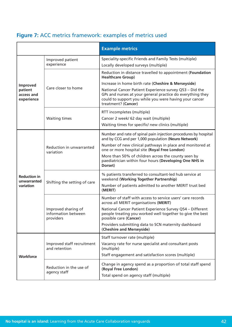|  |  | Figure 7: ACC metrics framework: examples of metrics used |  |  |
|--|--|-----------------------------------------------------------|--|--|

|                                                 |                                                         | <b>Example metrics</b>                                                                                                                                                                                                                                        |  |  |  |
|-------------------------------------------------|---------------------------------------------------------|---------------------------------------------------------------------------------------------------------------------------------------------------------------------------------------------------------------------------------------------------------------|--|--|--|
| Improved<br>patient<br>access and<br>experience | Improved patient<br>experience                          | Speciality-specific Friends and Family Tests (multiple)<br>Locally developed surveys (multiple)                                                                                                                                                               |  |  |  |
|                                                 |                                                         | Reduction in distance travelled to appointment (Foundation<br><b>Healthcare Group)</b>                                                                                                                                                                        |  |  |  |
|                                                 | Care closer to home                                     | Increase in home birth rate (Cheshire & Merseyside)<br>National Cancer Patient Experience survey Q53 - Did the<br>GPs and nurses at your general practice do everything they<br>could to support you while you were having your cancer<br>treatment? (Cancer) |  |  |  |
|                                                 | <b>Waiting times</b>                                    | RTT incompletes (multiple)<br>Cancer 2 week/ 62 day wait (multiple)                                                                                                                                                                                           |  |  |  |
|                                                 |                                                         | Waiting times for specific/ new clinics (multiple)                                                                                                                                                                                                            |  |  |  |
| <b>Reduction in</b><br>unwarranted<br>variation |                                                         | Number and rate of spinal pain injection procedures by hospital<br>and by CCG and per 1,000 population (Neuro Network)                                                                                                                                        |  |  |  |
|                                                 | Reduction in unwarranted<br>variation                   | Number of new clinical pathways in place and monitored at<br>one or more hospital site (Royal Free London)                                                                                                                                                    |  |  |  |
|                                                 |                                                         | More than 50% of children across the county seen by<br>paediatrician within four hours (Developing One NHS in<br>Dorset)                                                                                                                                      |  |  |  |
|                                                 | Shifting the setting of care                            | % patients transferred to consultant-led hub service at<br>weekend (Working Together Partnership)                                                                                                                                                             |  |  |  |
|                                                 |                                                         | Number of patients admitted to another MERIT trust bed<br>(MERIT)                                                                                                                                                                                             |  |  |  |
|                                                 |                                                         | Number of staff with access to service users' care records<br>across all MERIT organisations (MERIT)                                                                                                                                                          |  |  |  |
|                                                 | Improved sharing of<br>information between<br>providers | National Cancer Patient Experience Survey Q54 - Different<br>people treating you worked well together to give the best<br>possible care (Cancer)                                                                                                              |  |  |  |
|                                                 |                                                         | Providers submitting data to SCN maternity dashboard<br>(Cheshire and Merseyside)                                                                                                                                                                             |  |  |  |
| Workforce                                       |                                                         | Staff turnover rate (multiple)                                                                                                                                                                                                                                |  |  |  |
|                                                 | Improved staff recruitment<br>and retention             | Vacancy rate for nurse specialist and consultant posts<br>(multiple)                                                                                                                                                                                          |  |  |  |
|                                                 |                                                         | Staff engagement and satisfaction scores (multiple)                                                                                                                                                                                                           |  |  |  |
|                                                 | Reduction in the use of<br>agency staff                 | Change in agency spend as a proportion of total staff spend<br>(Royal Free London)<br>Total spend on agency staff (multiple)                                                                                                                                  |  |  |  |
|                                                 |                                                         |                                                                                                                                                                                                                                                               |  |  |  |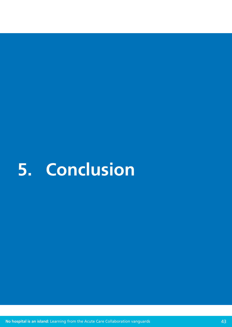# <span id="page-42-0"></span>**5. Conclusion**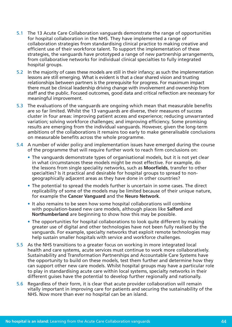- 5.1 The 13 Acute Care Collaboration vanguards demonstrate the range of opportunities for hospital collaboration in the NHS. They have implemented a range of collaboration strategies from standardising clinical practice to making creative and efficient use of their workforce talent. To support the implementation of these strategies, the vanguards have prototyped a range of new partnership arrangements, from collaborative networks for individual clinical specialties to fully integrated hospital groups.
- 5.2 In the majority of cases these models are still in their infancy; as such the implementation lessons are still emerging. What is evident is that a clear shared vision and trusting relationships between partners is the prerequisite for progress. For maximum impact there must be clinical leadership driving change with involvement and ownership from staff and the public. Focused outcomes, good data and critical reflection are necessary for meaningful improvement.
- 5.3 The evaluations of the vanguards are ongoing which mean that measurable benefits are so far limited. Whilst the 13 vanguards are diverse, their measures of success cluster in four areas: improving patient access and experience; reducing unwarranted variation; solving workforce challenges; and improving efficiency. Some promising results are emerging from the individual vanguards. However, given the long-term ambitions of the collaborations it remains too early to make generalisable conclusions on measurable benefits across the whole programme.
- 5.4 A number of wider policy and implementation issues have emerged during the course of the programme that will require further work to reach firm conclusions on:
	- The vanguards demonstrate types of organisational models, but it is not yet clear in what circumstances these models might be most effective. For example, do the lessons from single speciality networks, such as **Moorfields**, transfer to other specialties? Is it practical and desirable for hospital groups to spread to nongeographically adjacent areas as they have done in other countries?
	- The potential to spread the models further is uncertain in some cases. The direct replicability of some of the models may be limited because of their unique nature, for example the **Cancer Vanguard** and the **Neuro Network**.
	- It also remains to be seen how some hospital collaborations will combine with population-based new care models, although places like **Salford** and **Northumberland** are beginning to show how this may be possible.
	- The opportunities for hospital collaborations to look quite different by making greater use of digital and other technologies have not been fully realised by the vanguards. For example, specialty networks that exploit remote technologies may help sustain smaller hospitals with service and workforce challenges.
- 5.5 As the NHS transitions to a greater focus on working in more integrated local health and care systems, acute services must continue to work more collaboratively. Sustainability and Transformation Partnerships and Accountable Care Systems have the opportunity to build on these models, test them further and determine how they can support other new care models. Whilst hospital groups may have a particular role to play in standardising acute care within local systems, specialty networks in their different guises have the potential to develop further regionally and nationally.
- 5.6 Regardless of their form, it is clear that acute provider collaboration will remain vitally important in improving care for patients and securing the sustainability of the NHS. Now more than ever no hospital can be an island.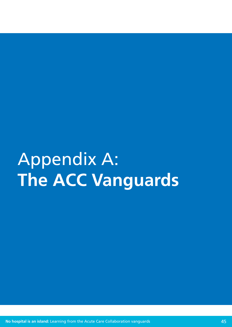# <span id="page-44-0"></span>Appendix A: **The ACC Vanguards**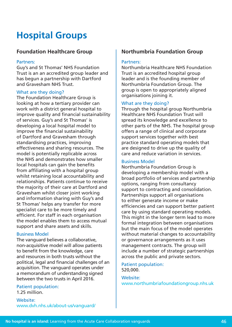# **Hospital Groups**

### **Foundation Healthcare Group**

### Partners:

Guy's and St Thomas' NHS Foundation Trust is an an accredited group leader and has begun a partnership with Dartford and Gravesham NHS Trust.

### What are they doing?

The Foundation Healthcare Group is looking at how a tertiary provider can work with a district general hospital to improve quality and financial sustainability of services. Guy's and St Thomas' is developing a local hospital model to improve the financial sustainability of Dartford and Gravesham through standardising practices, improving effectiveness and sharing resources. The model is potentially replicable across the NHS and demonstrates how smaller local hospitals can gain the benefits from affiliating with a hospital group whilst retaining local accountability and relationships. Patients continue to receive the majority of their care at Dartford and Gravesham whilst closer joint working and information sharing with Guy's and St Thomas' helps any transfer for more specialist care to be more timely and efficient. For staff in each organisation the model enables them to access mutual support and share assets and skills.

### Business Model

The vanguard believes a collaborative, non-acquisitive model will allow patients to benefit from the knowledge, care and resources in both trusts without the political, legal and financial challenges of an acquisition. The vanguard operates under a memorandum of understanding signed between the two trusts in April 2016.

Patient population: 1.25 million.

Website: [www.dvh.nhs.uk/about-us/vanguard/](http://www.dvh.nhs.uk/about-us/vanguard/)

### **Northumbria Foundation Group**

### Partners:

Northumbria Healthcare NHS Foundation Trust is an accredited hospital group leader and is the founding member of Northumbria Foundation Group. The group is open to appropriately aligned organisations joining it.

### What are they doing?

Through the hospital group Northumbria Healthcare NHS Foundation Trust will spread its knowledge and excellence to other parts of the NHS. The hospital group offers a range of clinical and corporate support services together with best practice standard operating models that are designed to drive up the quality of care and reduce variation in services.

### Business Model

Northumbria Foundation Group is developing a membership model with a broad portfolio of services and partnership options, ranging from consultancy support to contracting and consolidation. Partnerships support all organisations to either generate income or make efficiencies and can support better patient care by using standard operating models. This might in the longer term lead to more formal integration between organisations but the main focus of the model operates without material changes to accountability or governance arrangements as it uses management contracts. The group will include a number of strategic partnerships across the public and private sectors.

Patient population: 520,000.

### Website:

[www.northumbriafoundationgroup.nhs.uk](http://www.northumbriafoundationgroup.nhs.uk)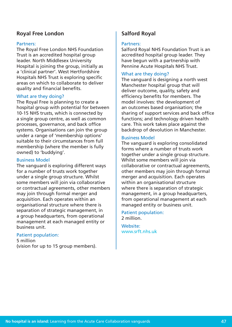### **Royal Free London**

### Partners:

The Royal Free London NHS Foundation Trust is an accredited hospital group leader. North Middlesex University Hospital is joining the group, initially as a 'clinical partner'. West Hertfordshire Hospitals NHS Trust is exploring specific areas on which to collaborate to deliver quality and financial benefits.

### What are they doing?

The Royal Free is planning to create a hospital group with potential for between 10-15 NHS trusts, which is connected by a single group centre, as well as common processes, governance, and back office systems. Organisations can join the group under a range of 'membership options' suitable to their circumstances from full membership (where the member is fully owned) to 'buddying'.

### Business Model

The vanguard is exploring different ways for a number of trusts work together under a single group structure. Whilst some members will join via collaborative or contractual agreements, other members may join through formal merger and acquisition. Each operates within an organisational structure where there is separation of strategic management, in a group headquarters, from operational management at each managed entity or business unit.

### Patient population:

5 million (vision for up to 15 group members).

# **Salford Royal**

#### Partners:

Salford Royal NHS Foundation Trust is an accredited hospital group leader. They have begun with a partnership with Pennine Acute Hospitals NHS Trust.

### What are they doing?

The vanguard is designing a north west Manchester hospital group that will deliver outcome, quality, safety and efficiency benefits for members. The model involves: the development of an outcomes based organisation; the sharing of support services and back office functions; and technology driven health care. This work takes place against the backdrop of devolution in Manchester.

### Business Model

The vanguard is exploring consolidated forms where a number of trusts work together under a single group structure. Whilst some members will join via collaborative or contractual agreements, other members may join through formal merger and acquisition. Each operates within an organisational structure where there is separation of strategic management, in a group headquarters, from operational management at each managed entity or business unit.

Patient population: 2 million.

Website: [www.srft.nhs.uk](http://www.srft.nhs.uk)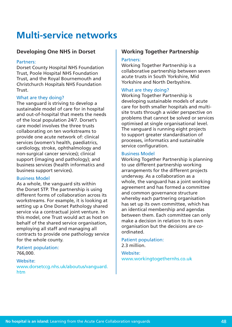# **Multi-service networks**

## **Developing One NHS in Dorset**

### Partners:

Dorset County Hospital NHS Foundation Trust, Poole Hospital NHS Foundation Trust, and the Royal Bournemouth and Christchurch Hospitals NHS Foundation Trust.

### What are they doing?

The vanguard is striving to develop a sustainable model of care for in hospital and out-of-hospital that meets the needs of the local population 24/7. Dorset's care model involves the three trusts collaborating on ten workstreams to provide one acute network of: clinical services (women's health, paediatrics, cardiology, stroke, ophthalmology and non-surgical cancer services); clinical support (imaging and pathology); and business services (health informatics and business support services).

### Business Model

As a whole, the vanguard sits within the Dorset STP. The partnership is using different forms of collaboration across its workstreams. For example, it is looking at setting up a One Dorset Pathology shared service via a contractual joint venture. In this model, one Trust would act as host on behalf of the shared service organisation, employing all staff and managing all contracts to provide one pathology service for the whole county.

Patient population: 766,000.

Website: [www.dorsetccg.nhs.uk/aboutus/vanguard.](http://www.dorsetccg.nhs.uk/aboutus/vanguard.htm) [htm](http://www.dorsetccg.nhs.uk/aboutus/vanguard.htm)

# **Working Together Partnership**

### Partners:

Working Together Partnership is a collaborative partnership between seven acute trusts in South Yorkshire, Mid Yorkshire and North Derbyshire.

### What are they doing?

Working Together Partnership is developing sustainable models of acute care for both smaller hospitals and multisite trusts through a wider perspective on problems that cannot be solved or services optimised at single organisational level. The vanguard is running eight projects to support greater standardisation of processes, informatics and sustainable service configuration.

### Business Model

Working Together Partnership is planning to use different partnership working arrangements for the different projects underway. As a collaboration as a whole, the vanguard has a joint working agreement and has formed a committee and common governance structure whereby each partnering organisation has set up its own committee, which has an identical membership and agendas between them. Each committee can only make a decision in relation to its own organisation but the decisions are coordinated.

### Patient population: 2.3 million.

Website: [www.workingtogethernhs.co.uk](http://www.workingtogethernhs.co.uk)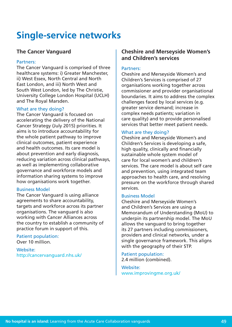# **Single-service networks**

### **The Cancer Vanguard**

### Partners:

The Cancer Vanguard is comprised of three healthcare systems: i) Greater Manchester, ii) West Essex, North Central and North East London, and iii) North West and South West London, led by The Christie, University College London Hospital (UCLH) and The Royal Marsden.

### What are they doing?

The Cancer Vanguard is focused on accelerating the delivery of the National Cancer Strategy (July 2015) priorities. It aims is to introduce accountability for the whole patient pathway to improve clinical outcomes, patient experience and health outcomes. Its care model is about prevention and early diagnosis, reducing variation across clinical pathways, as well as implementing collaborative governance and workforce models and information sharing systems to improve how organisations work together.

### Business Model

The Cancer Vanguard is using alliance agreements to share accountability, targets and workforce across its partner organisations. The vanguard is also working with Cancer Alliances across the country to establish a community of practice forum in support of this.

### Patient population:

Over 10 million.

Website: <http://cancervanguard.nhs.uk/>

# **Cheshire and Merseyside Women's and Children's services**

### Partners:

Cheshire and Merseyside Women's and Children's Services is comprised of 27 organisations working together across commissioner and provider organisational boundaries. It aims to address the complex challenges faced by local services (e.g. greater service demand; increase in complex needs patients; variation in care quality) and to provide personalised services that better meet patient needs.

### What are they doing?

Cheshire and Merseyside Women's and Children's Services is developing a safe, high quality, clinically and financially sustainable whole system model of care for local women's and children's services. The care model is about self care and prevention, using integrated team approaches to health care, and resolving pressure on the workforce through shared services.

### Business Model

Cheshire and Merseyside Women's and Children's Services are using a Memorandum of Understanding (MoU) to underpin its partnership model. The MoU allows the vanguard to bring together its 27 partners including commissioners, providers and clinical networks, under a single governance framework. This aligns with the geography of their STP.

Patient population: 2.4 million (combined).

Website: [www.improvingme.org.uk/](http://www.improvingme.org.uk/)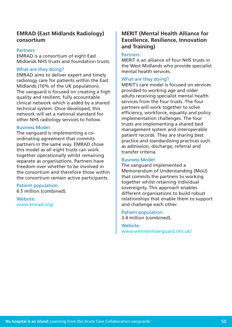### **EMRAD (East Midlands Radiology) consortium**

### Partners:

EMRAD is a consortium of eight East Midlands NHS trusts and foundation trusts.

### What are they doing?

EMRAD aims to deliver expert and timely radiology care for patients within the East Midlands (10% of the UK population). The vanguard is focused on creating a high quality and resilient, fully accountable clinical network which is aided by a shared technical system. Once developed, this network will set a national standard for other NHS radiology services to follow.

#### Business Model

The vanguard is implementing a coordinating agreement that commits partners in the same way. EMRAD chose this model as all eight trusts can work together operationally whilst remaining separate as organisations. Partners have freedom over whether to be involved in the consortium and therefore those within the consortium remain active participants.

#### Patient population: 6.5 million (combined).

Website: [www.emrad.org/](http://www.emrad.org/)

### **MERIT (Mental Health Alliance for Excellence, Resilience, Innovation and Training)**

### Partners:

MERIT is an alliance of four NHS trusts in the West Midlands who provide specialist mental health services.

### What are they doing?

MERIT's care model is focused on services provided to working age and older adults receiving specialist mental health services from the four trusts. The four partners will work together to solve efficiency, workforce, equality and policy implementation challenges. The four trusts are implementing a shared bed management system and interoperable patient records. They are sharing best practice and standardising practices such as admission, discharge, referral and transfer criteria.

### Business Model

The vanguard implemented a Memorandum of Understanding (MoU) that commits the partners to working together whilst retaining individual sovereignty. This approach enables different organisations to build robust relationships that enable them to support and challenge each other.

Patient population: 3.4 million (combined).

Website: www.wmmeritvanguard.nhs.uk/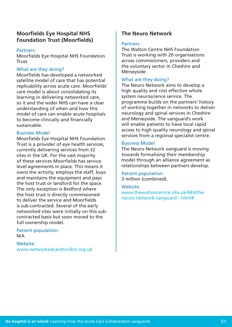## **Moorfields Eye Hospital NHS Foundation Trust (Moorfields)**

### Partners:

Moorfields Eye Hospital NHS Foundation Trust.

### What are they doing?

Moorfields has developed a networked satellite model of care that has potential replicability across acute care. Moorfields' care model is about consolidating its learning in delivering networked care, so it and the wider NHS can have a clear understanding of when and how this model of care can enable acute hospitals to become clinically and financially sustainable.

### Business Model

Moorfields Eye Hospital NHS Foundation Trust is a provider of eye health services, currently delivering services from 32 sites in the UK. For the vast majority of these services Moorfields has service level agreements in place. This means it owns the activity, employs the staff, buys and maintains the equipment and pays the host trust or landlord for the space. The only exception is Bedford where the host trust is directly commissioned to deliver the service and Moorfields is sub-contracted. Several of the early networked sites were initially on this subcontracted basis but soon moved to the full ownership model.

Patient population: N/A

Website: [www.networkedcaretoolkit.org.uk](http://www.networkedcaretoolkit.org.uk)

## **The Neuro Network**

### Partners:

The Walton Centre NHS Foundation Trust is working with 20 organisations across commissioners, providers and the voluntary sector in Cheshire and Merseyside.

### What are they doing?

The Neuro Network aims to develop a high quality and cost effective whole system neuroscience service. The programme builds on the partners' history of working together in networks to deliver neurology and spinal services in Cheshire and Merseyside. The vanguard's work will enable patients to have local rapid access to high quality neurology and spinal services from a regional specialist centre.

### Business Model

The Neuro Network vanguard is moving towards formalising their membership model through an alliance agreement as relationships between partners develop.

Patient population: 3 million (combined).

Website: [www.thewaltoncentre.nhs.uk/443/the](http://www.thewaltoncentre.nhs.uk/443/the-neuro-network-vanguard--.html#)[neuro-network-vanguard--.html#](http://www.thewaltoncentre.nhs.uk/443/the-neuro-network-vanguard--.html#)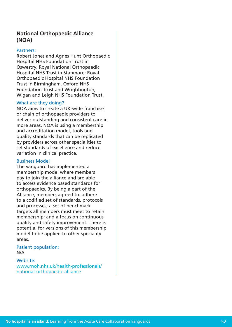# **National Orthopaedic Alliance (NOA)**

### Partners:

Robert Jones and Agnes Hunt Orthopaedic Hospital NHS Foundation Trust in Oswestry; Royal National Orthopaedic Hospital NHS Trust in Stanmore; Royal Orthopaedic Hospital NHS Foundation Trust in Birmingham, Oxford NHS Foundation Trust and Wrightington, Wigan and Leigh NHS Foundation Trust.

### What are they doing?

NOA aims to create a UK-wide franchise or chain of orthopaedic providers to deliver outstanding and consistent care in more areas. NOA is using a membership and accreditation model, tools and quality standards that can be replicated by providers across other specialities to set standards of excellence and reduce variation in clinical practice.

### Business Model

The vanguard has implemented a membership model where members pay to join the alliance and are able to access evidence based standards for orthopaedics. By being a part of the Alliance, members agreed to: adhere to a codified set of standards, protocols and processes; a set of benchmark targets all members must meet to retain membership; and a focus on continuous quality and safety improvement. There is potential for versions of this membership model to be applied to other speciality areas.

Patient population: N/A

Website: [www.rnoh.nhs.uk/health-professionals/](https://www.rnoh.nhs.uk/health-professionals/national-orthopaedic-alliance) [national-orthopaedic-alliance](https://www.rnoh.nhs.uk/health-professionals/national-orthopaedic-alliance)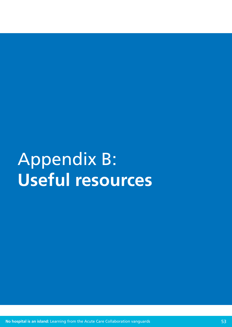# <span id="page-52-0"></span>Appendix B: **Useful resources**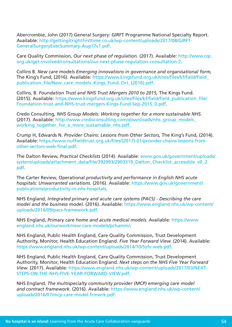Abercrombie, John (2017) General Surgery: GIRFT Programme National Specialty Report. Available: [http://gettingitrightfirsttime.co.uk/wp-content/uploads/2017/08/GIRFT-](http://gettingitrightfirsttime.co.uk/wp-content/uploads/2017/08/GIRFT-GeneralSurgeryExecSummary-Aug17v1.pdf)[GeneralSurgeryExecSummary-Aug17v1.pdf.](http://gettingitrightfirsttime.co.uk/wp-content/uploads/2017/08/GIRFT-GeneralSurgeryExecSummary-Aug17v1.pdf)

Care Quality Commission, *Our next phase of regulation.* (2017). Available: [http://www.cqc.](http://www.cqc.org.uk/get-involved/consultations/our-next-phase-regulation-consultation-2) [org.uk/get-involved/consultations/our-next-phase-regulation-consultation-2](http://www.cqc.org.uk/get-involved/consultations/our-next-phase-regulation-consultation-2).

Collins B. *New care models Emerging innovations in governance and organisational form,*  The King's Fund, (2016). Available: [https://www.kingsfund.org.uk/sites/files/kf/field/field\\_](https://www.kingsfund.org.uk/sites/files/kf/field/field_publication_file/New_care_models_Kings_Fund_Oct_(2016).pdf) publication\_file/New\_care\_models\_Kings\_Fund\_Oct (2016).pdf.

Collins, B. *Foundation Trust and NHS Trust Mergers 2010 to 2015*, The Kings Fund. (2015). Available: [https://www.kingsfund.org.uk/sites/files/kf/field/field\\_publication\\_file/](https://www.kingsfund.org.uk/sites/files/kf/field/field_publication_file/Foundation-trust-and-NHS-trust-mergers-Kings-Fund-Sep-2015_0.pdf) [Foundation-trust-and-NHS-trust-mergers-Kings-Fund-Sep-2015\\_0.pdf.](https://www.kingsfund.org.uk/sites/files/kf/field/field_publication_file/Foundation-trust-and-NHS-trust-mergers-Kings-Fund-Sep-2015_0.pdf)

Credo Consulting, *NHS Group Models: Working together for a more sustainable NHS.*  (2017). Available: http://www.credoconsulting.com/downloads/nhs\_group\_models working together for a more sustainable nhs.pdf.

Crump H, Edwards N. *Provider Chains: Lessons from Other Sectors,* The King's Fund, (2014). Available: [https://www.nuffieldtrust.org.uk/files/\(2017\)-01/provider-chains-lessons-from](https://www.nuffieldtrust.org.uk/files/(2017)-01/provider-chains-lessons-from-other-sectors-web-final.pdf)[other-sectors-web-final.pdf.](https://www.nuffieldtrust.org.uk/files/(2017)-01/provider-chains-lessons-from-other-sectors-web-final.pdf)

The Dalton Review, *Practical Checklists* (2014). Available: [www.gov.uk/government/uploads/](http://www.gov.uk/government/uploads/system/uploads/attachment_data/file/392993/2903319_Dalton_Checklist_accessible_v0_2.pdf) [system/uploads/attachment\\_data/file/392993/2903319\\_Dalton\\_Checklist\\_accessible\\_v0\\_2.](http://www.gov.uk/government/uploads/system/uploads/attachment_data/file/392993/2903319_Dalton_Checklist_accessible_v0_2.pdf) [pdf.](http://www.gov.uk/government/uploads/system/uploads/attachment_data/file/392993/2903319_Dalton_Checklist_accessible_v0_2.pdf)

The Carter Review, Operational *productivity and performance in English NHS acute hospitals: Unwarranted variations.* (2016). Available: [https://www.gov.uk/government/](https://www.gov.uk/government/publications/productivity-in-nhs-hospitals) [publications/productivity-in-nhs-hospitals.](https://www.gov.uk/government/publications/productivity-in-nhs-hospitals)

NHS England, *Integrated primary and acute care systems (PACS) - Describing the care model and the business model.* (2016). Available: [https://www.england.nhs.uk/wp-content/](https://www.england.nhs.uk/wp-content/uploads/2016/09/pacs-framework.pdf) [uploads/2016/09/pacs-framework.pdf](https://www.england.nhs.uk/wp-content/uploads/2016/09/pacs-framework.pdf).

NHS England, *Primary care home and acute medical models.* Available: [https://www.](https://www.england.nhs.uk/ourwork/new-care-models/pchamm/) [england.nhs.uk/ourwork/new-care-models/pchamm/](https://www.england.nhs.uk/ourwork/new-care-models/pchamm/).

NHS England, Public Health England, Care Quality Commission, Trust Development Authority, Monitor, Health Education England. *Five Year Forward View.* (2014). Available: <https://www.england.nhs.uk/wp-content/uploads/2014/10/5yfv-web.pdf>.

NHS England, Public Health England, Care Quality Commission, Trust Development Authority, Monitor, Health Education England. *Next steps on the NHS Five Year Forward View.* (2017). Available: [https://www.england.nhs.uk/wp-content/uploads/2017/03/NEXT-](https://www.england.nhs.uk/wp-content/uploads/2017/03/NEXT-STEPS-ON-THE-NHS-FIVE-YEAR-FORWARD-VIEW.pdf)[STEPS-ON-THE-NHS-FIVE-YEAR-FORWARD-VIEW.pdf.](https://www.england.nhs.uk/wp-content/uploads/2017/03/NEXT-STEPS-ON-THE-NHS-FIVE-YEAR-FORWARD-VIEW.pdf)

NHS England, *The multispecialty community provider (MCP) emerging care model and contract framework.* (2016). Available: [https://www.england.nhs.uk/wp-content/](https://www.england.nhs.uk/wp-content/uploads/2016/07/mcp-care-model-frmwrk.pdf) [uploads/2016/07/mcp-care-model-frmwrk.pdf.](https://www.england.nhs.uk/wp-content/uploads/2016/07/mcp-care-model-frmwrk.pdf)